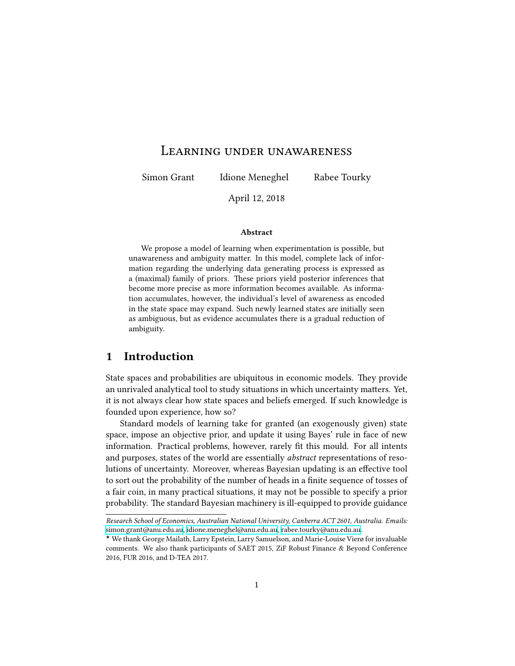### Learning under unawareness

Simon Grant Idione Meneghel Rabee Tourky

April 12, 2018

#### **Abstract**

We propose a model of learning when experimentation is possible, but unawareness and ambiguity matter. In this model, complete lack of information regarding the underlying data generating process is expressed as a (maximal) family of priors. These priors yield posterior inferences that become more precise as more information becomes available. As information accumulates, however, the individual's level of awareness as encoded in the state space may expand. Such newly learned states are initially seen as ambiguous, but as evidence accumulates there is a gradual reduction of ambiguity.

### **1 Introduction**

State spaces and probabilities are ubiquitous in economic models. They provide an unrivaled analytical tool to study situations in which uncertainty matters. Yet, it is not always clear how state spaces and beliefs emerged. If such knowledge is founded upon experience, how so?

Standard models of learning take for granted (an exogenously given) state space, impose an objective prior, and update it using Bayes' rule in face of new information. Practical problems, however, rarely fit this mould. For all intents and purposes, states of the world are essentially *abstract* representations of resolutions of uncertainty. Moreover, whereas Bayesian updating is an effective tool to sort out the probability of the number of heads in a finite sequence of tosses of a fair coin, in many practical situations, it may not be possible to specify a prior probability. The standard Bayesian machinery is ill-equipped to provide guidance

*Research School of Economics, Australian National University, Canberra ACT 2601, Australia. Emails:* [simon.grant@anu.edu.au,](mailto:simon.grant@anu.edu.au) [idione.meneghel@anu.edu.au](mailto:idione.meneghel@anu.edu.au), [rabee.tourky@anu.edu.au.](mailto:rabee.tourky@anu.edu.au)

<sup>⋆</sup> We thank George Mailath, Larry Epstein, Larry Samuelson, and Marie-Louise Vierø for invaluable comments. We also thank participants of SAET 2015, ZiF Robust Finance & Beyond Conference 2016, FUR 2016, and D-TEA 2017.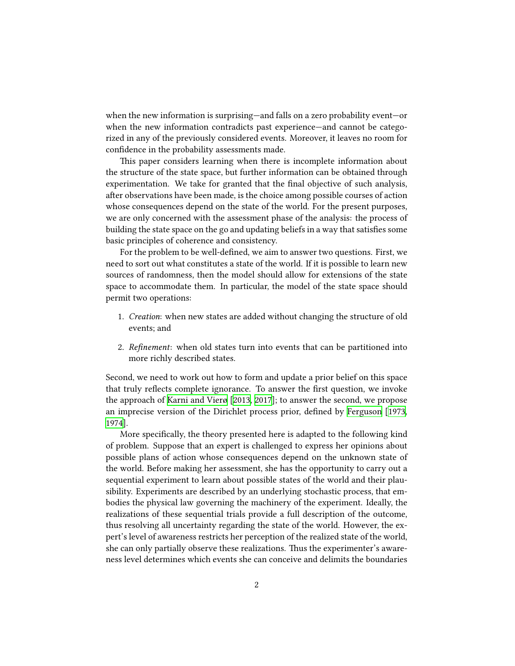when the new information is surprising—and falls on a zero probability event—or when the new information contradicts past experience—and cannot be categorized in any of the previously considered events. Moreover, it leaves no room for confidence in the probability assessments made.

This paper considers learning when there is incomplete information about the structure of the state space, but further information can be obtained through experimentation. We take for granted that the final objective of such analysis, after observations have been made, is the choice among possible courses of action whose consequences depend on the state of the world. For the present purposes, we are only concerned with the assessment phase of the analysis: the process of building the state space on the go and updating beliefs in a way that satisfies some basic principles of coherence and consistency.

For the problem to be well-defined, we aim to answer two questions. First, we need to sort out what constitutes a state of the world. If it is possible to learn new sources of randomness, then the model should allow for extensions of the state space to accommodate them. In particular, the model of the state space should permit two operations:

- 1. *Creation*: when new states are added without changing the structure of old events; and
- 2. *Refinement*: when old states turn into events that can be partitioned into more richly described states.

Second, we need to work out how to form and update a prior belief on this space that truly reflects complete ignorance. To answer the first question, we invoke the approach of [Karni and Vierø](#page-30-0) [\[2013,](#page-30-0) [2017](#page-30-1)]; to answer the second, we propose an imprecise version of the Dirichlet process prior, defined by [Ferguson](#page-29-0) [[1973](#page-29-0), [1974](#page-29-1)].

More specifically, the theory presented here is adapted to the following kind of problem. Suppose that an expert is challenged to express her opinions about possible plans of action whose consequences depend on the unknown state of the world. Before making her assessment, she has the opportunity to carry out a sequential experiment to learn about possible states of the world and their plausibility. Experiments are described by an underlying stochastic process, that embodies the physical law governing the machinery of the experiment. Ideally, the realizations of these sequential trials provide a full description of the outcome, thus resolving all uncertainty regarding the state of the world. However, the expert's level of awareness restricts her perception of the realized state of the world, she can only partially observe these realizations. Thus the experimenter's awareness level determines which events she can conceive and delimits the boundaries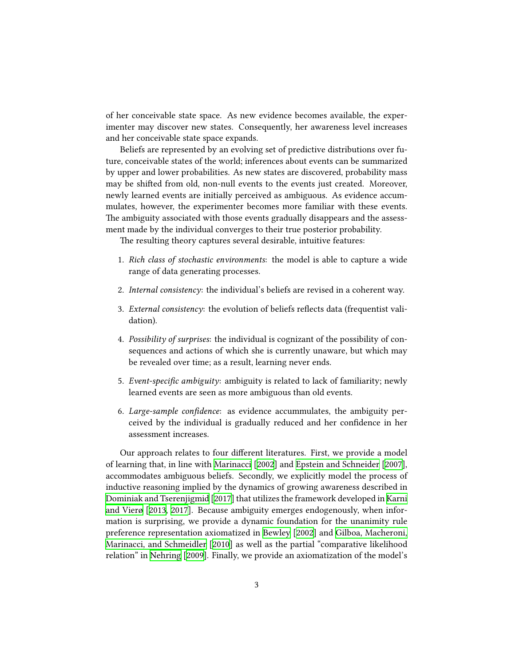of her conceivable state space. As new evidence becomes available, the experimenter may discover new states. Consequently, her awareness level increases and her conceivable state space expands.

Beliefs are represented by an evolving set of predictive distributions over future, conceivable states of the world; inferences about events can be summarized by upper and lower probabilities. As new states are discovered, probability mass may be shifted from old, non-null events to the events just created. Moreover, newly learned events are initially perceived as ambiguous. As evidence accummulates, however, the experimenter becomes more familiar with these events. The ambiguity associated with those events gradually disappears and the assessment made by the individual converges to their true posterior probability.

The resulting theory captures several desirable, intuitive features:

- 1. *Rich class of stochastic environments*: the model is able to capture a wide range of data generating processes.
- 2. *Internal consistency*: the individual's beliefs are revised in a coherent way.
- 3. *External consistency*: the evolution of beliefs reflects data (frequentist validation).
- 4. *Possibility of surprises*: the individual is cognizant of the possibility of consequences and actions of which she is currently unaware, but which may be revealed over time; as a result, learning never ends.
- 5. *Event-specific ambiguity*: ambiguity is related to lack of familiarity; newly learned events are seen as more ambiguous than old events.
- 6. *Large-sample confidence*: as evidence accummulates, the ambiguity perceived by the individual is gradually reduced and her confidence in her assessment increases.

Our approach relates to four different literatures. First, we provide a model of learning that, in line with [Marinacci](#page-30-2) [[2002](#page-30-2)] and [Epstein and Schneider](#page-29-2) [[2007](#page-29-2)], accommodates ambiguous beliefs. Secondly, we explicitly model the process of inductive reasoning implied by the dynamics of growing awareness described in [Dominiak and Tserenjigmid](#page-29-3) [[2017\]](#page-29-3) that utilizes the framework developed in [Karni](#page-30-0) [and Vierø](#page-30-0) [\[2013,](#page-30-0) [2017\]](#page-30-1). Because ambiguity emerges endogenously, when information is surprising, we provide a dynamic foundation for the unanimity rule preference representation axiomatized in [Bewley](#page-28-0) [\[2002\]](#page-28-0) and [Gilboa, Macheroni,](#page-29-4) [Marinacci, and Schmeidler](#page-29-4) [[2010](#page-29-4)] as well as the partial "comparative likelihood relation" in [Nehring](#page-30-3) [[2009](#page-30-3)]. Finally, we provide an axiomatization of the model's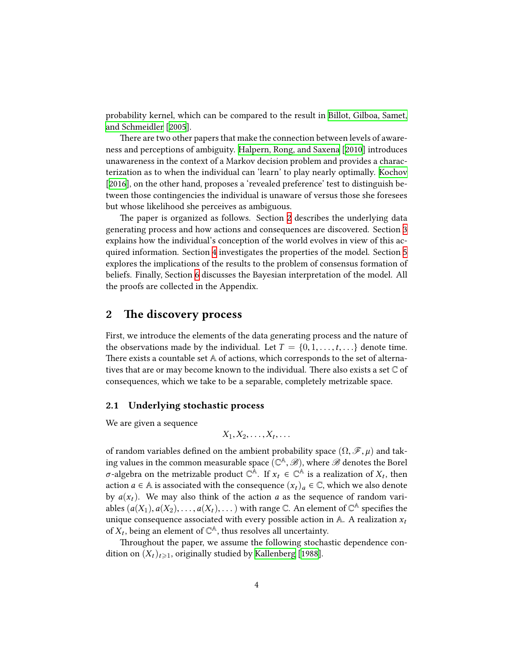probability kernel, which can be compared to the result in [Billot, Gilboa, Samet,](#page-28-1) [and Schmeidler](#page-28-1) [\[2005](#page-28-1)].

There are two other papers that make the connection between levels of awareness and perceptions of ambiguity. [Halpern, Rong, and Saxena](#page-29-5) [[2010\]](#page-29-5) introduces unawareness in the context of a Markov decision problem and provides a characterization as to when the individual can 'learn' to play nearly optimally. [Kochov](#page-30-4) [[2016\]](#page-30-4), on the other hand, proposes a 'revealed preference' test to distinguish between those contingencies the individual is unaware of versus those she foresees but whose likelihood she perceives as ambiguous.

The paper is organized as follows. Section [2](#page-3-0) describes the underlying data generating process and how actions and consequences are discovered. Section [3](#page-6-0) explains how the individual's conception of the world evolves in view of this acquired information. Section [4](#page-14-0) investigates the properties of the model. Section [5](#page-20-0) explores the implications of the results to the problem of consensus formation of beliefs. Finally, Section [6](#page-23-0) discusses the Bayesian interpretation of the model. All the proofs are collected in the Appendix.

### <span id="page-3-0"></span>**2 The discovery process**

First, we introduce the elements of the data generating process and the nature of the observations made by the individual. Let  $T = \{0, 1, \ldots, t, \ldots\}$  denote time. There exists a countable set A of actions, which corresponds to the set of alternatives that are or may become known to the individual. There also exists a set C of consequences, which we take to be a separable, completely metrizable space.

#### **2.1 Underlying stochastic process**

We are given a sequence

$$
X_1, X_2, \ldots, X_t, \ldots
$$

of random variables defined on the ambient probability space  $(\Omega, \mathcal{F}, \mu)$  and taking values in the common measurable space  $(\mathbb{C}^{\mathbb{A}}, \mathscr{B})$ , where  $\mathscr{B}$  denotes the Borel *σ*-algebra on the metrizable product  $\mathbb{C}^{\mathbb{A}}$ . If  $x_t \in \mathbb{C}^{\mathbb{A}}$  is a realization of  $X_t$ , then action *a* ∈ A is associated with the consequence  $(x_t)_a \in \mathbb{C}$ , which we also denote by  $a(x_t)$ . We may also think of the action *a* as the sequence of random variables  $(a(X_1), a(X_2), \ldots, a(X_t), \ldots)$  with range  $\mathbb C.$  An element of  $\mathbb C^{\mathbb A}$  specifies the unique consequence associated with every possible action in  $A$ . A realization  $x_t$ of  $X_t$ , being an element of  $\mathbb{C}^{\mathbb{A}}$ , thus resolves all uncertainty.

Throughout the paper, we assume the following stochastic dependence condition on  $(X_t)_{t\geqslant1}$ , originally studied by [Kallenberg](#page-30-5) [\[1988](#page-30-5)].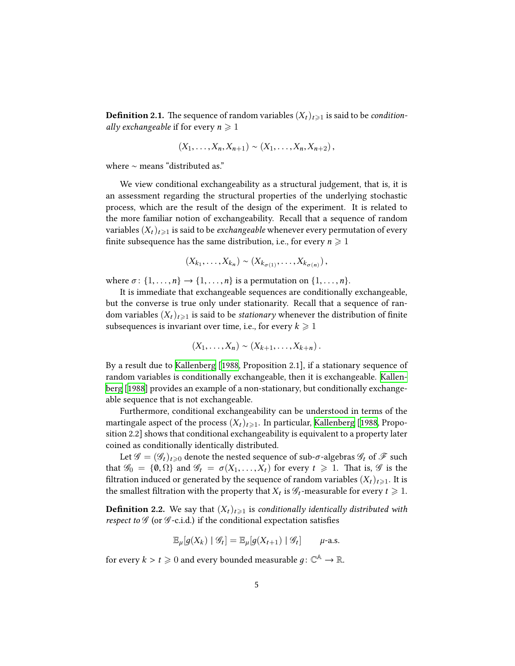**Definition 2.1.** The sequence of random variables  $(X_t)_{t\geq 1}$  is said to be *conditionally exchangeable* if for every  $n \geq 1$ 

$$
(X_1, ..., X_n, X_{n+1}) \sim (X_1, ..., X_n, X_{n+2}),
$$

where ∼ means "distributed as."

We view conditional exchangeability as a structural judgement, that is, it is an assessment regarding the structural properties of the underlying stochastic process, which are the result of the design of the experiment. It is related to the more familiar notion of exchangeability. Recall that a sequence of random variables  $(X_t)_{t\geq 1}$  is said to be *exchangeable* whenever every permutation of every finite subsequence has the same distribution, i.e., for every  $n \geqslant 1$ 

$$
(X_{k_1},\ldots,X_{k_n})\sim (X_{k_{\sigma(1)}},\ldots,X_{k_{\sigma(n)}}),
$$

where  $\sigma$ :  $\{1, \ldots, n\} \rightarrow \{1, \ldots, n\}$  is a permutation on  $\{1, \ldots, n\}$ .

It is immediate that exchangeable sequences are conditionally exchangeable, but the converse is true only under stationarity. Recall that a sequence of random variables  $(X_t)_{t\geq 1}$  is said to be *stationary* whenever the distribution of finite subsequences is invariant over time, i.e., for every  $k \geq 1$ 

$$
(X_1,\ldots,X_n)\sim (X_{k+1},\ldots,X_{k+n}).
$$

By a result due to [Kallenberg](#page-30-5) [[1988,](#page-30-5) Proposition 2.1], if a stationary sequence of random variables is conditionally exchangeable, then it is exchangeable. [Kallen](#page-30-5)[berg](#page-30-5) [[1988](#page-30-5)] provides an example of a non-stationary, but conditionally exchangeable sequence that is not exchangeable.

Furthermore, conditional exchangeability can be understood in terms of the martingale aspect of the process  $(X_t)_{t\geq 1}$ . In particular, [Kallenberg](#page-30-5) [[1988,](#page-30-5) Proposition 2.2] shows that conditional exchangeability is equivalent to a property later coined as conditionally identically distributed.

Let  $\mathscr{G} = (\mathscr{G}_t)_{t \geq 0}$  denote the nested sequence of sub- $\sigma$ -algebras  $\mathscr{G}_t$  of  $\mathscr{F}$  such that  $\mathscr{G}_0 = \{0, \Omega\}$  and  $\mathscr{G}_t = \sigma(X_1, \ldots, X_t)$  for every  $t \geq 1$ . That is,  $\mathscr{G}$  is the filtration induced or generated by the sequence of random variables  $(X_t)_{t\geq 1}$ . It is the smallest filtration with the property that  $X_t$  is  $\mathscr{G}_t$ -measurable for every  $t\geqslant 1$ .

**Definition 2.2.** We say that  $(X_t)_{t\geq 1}$  is *conditionally identically distributed with respect to*  $G$  (or  $G$ -c.i.d.) if the conditional expectation satisfies

$$
\mathbb{E}_{\mu}[g(X_k) | \mathcal{G}_t] = \mathbb{E}_{\mu}[g(X_{t+1}) | \mathcal{G}_t] \qquad \mu\text{-a.s.}
$$

for every  $k > t \geqslant 0$  and every bounded measurable  $g \colon \mathbb{C}^{\mathbb{A}} \to \mathbb{R}.$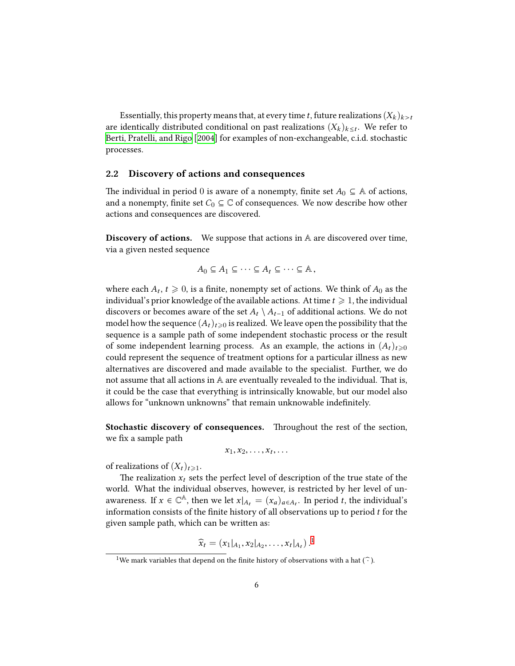Essentially, this property means that, at every time *t*, future realizations  $(X_k)_{k>t}$ are identically distributed conditional on past realizations  $(X_k)_{k\leq t}$ . We refer to [Berti, Pratelli, and Rigo](#page-28-2) [[2004](#page-28-2)] for examples of non-exchangeable, c.i.d. stochastic processes.

#### **2.2 Discovery of actions and consequences**

The individual in period 0 is aware of a nonempty, finite set  $A_0 \subseteq A$  of actions, and a nonempty, finite set  $C_0 \subseteq \mathbb{C}$  of consequences. We now describe how other actions and consequences are discovered.

**Discovery of actions.** We suppose that actions in A are discovered over time, via a given nested sequence

$$
A_0 \subseteq A_1 \subseteq \cdots \subseteq A_t \subseteq \cdots \subseteq A,
$$

where each  $A_t$ ,  $t \geq 0$ , is a finite, nonempty set of actions. We think of  $A_0$  as the individual's prior knowledge of the available actions. At time  $t \geqslant 1$ , the individual discovers or becomes aware of the set  $A_t \setminus A_{t-1}$  of additional actions. We do not model how the sequence  $(A_t)_{t\geqslant 0}$  is realized. We leave open the possibility that the sequence is a sample path of some independent stochastic process or the result of some independent learning process. As an example, the actions in  $(A_t)_{t\geq0}$ could represent the sequence of treatment options for a particular illness as new alternatives are discovered and made available to the specialist. Further, we do not assume that all actions in A are eventually revealed to the individual. That is, it could be the case that everything is intrinsically knowable, but our model also allows for "unknown unknowns" that remain unknowable indefinitely.

**Stochastic discovery of consequences.** Throughout the rest of the section, we fix a sample path

$$
x_1, x_2, \ldots, x_t, \ldots
$$

of realizations of  $(X_t)_{t \geq 1}$ .

The realization  $x_t$  sets the perfect level of description of the true state of the world. What the individual observes, however, is restricted by her level of unawareness. If  $x \in \mathbb{C}^{\mathbb{A}}$ , then we let  $x|_{A_t} = (x_a)_{a \in A_t}$ . In period *t*, the individual's information consists of the finite history of all observations up to period *t* for the given sample path, which can be written as:

$$
\widehat{x}_t = (x_1|_{A_1}, x_2|_{A_2}, \ldots, x_t|_{A_t}).^1
$$

<span id="page-5-0"></span><sup>&</sup>lt;sup>1</sup>We mark variables that depend on the finite history of observations with a hat ( $\hat{\cdot}$ ).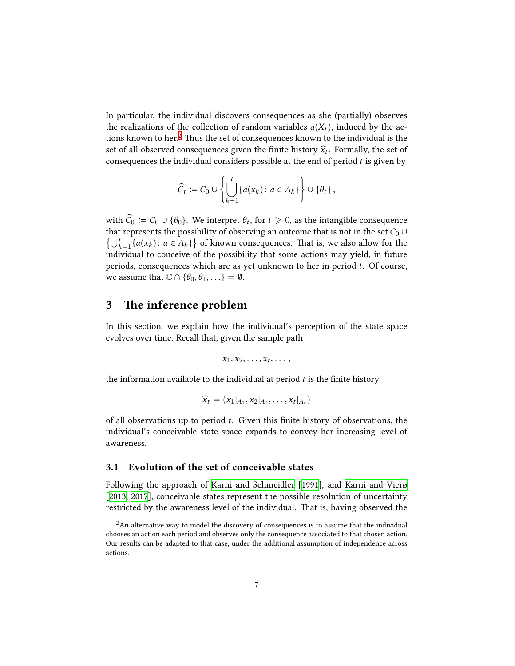In particular, the individual discovers consequences as she (partially) observes the realizations of the collection of random variables  $a(X_t)$ , induced by the ac-tions known to her.<sup>[2](#page-6-1)</sup> Thus the set of consequences known to the individual is the set of all observed consequences given the finite history  $\hat{x}_t$ . Formally, the set of consequences the individual considers possible at the end of period *t* is given by

$$
\widehat{C}_t := C_0 \cup \left\{ \bigcup_{k=1}^t \{a(x_k) : a \in A_k\} \right\} \cup \{\theta_t\},\
$$

with  $C_0 = C_0 \cup {\theta_0}$ . We interpret  $\theta_t$ , for  $t \ge 0$ , as the intangible consequence that represents the possibility of observing an outcome that is not in the set  $C_0 \cup$  $\{\bigcup_{k=1}^{t} \{a(x_k): a \in A_k\} \}$  of known consequences. That is, we also allow for the individual to conceive of the possibility that some actions may yield, in future periods, consequences which are as yet unknown to her in period *t*. Of course, we assume that  $\mathbb{C} \cap {\theta_0, \theta_1, \ldots} = \emptyset$ .

### <span id="page-6-0"></span>**3 The inference problem**

In this section, we explain how the individual's perception of the state space evolves over time. Recall that, given the sample path

$$
x_1, x_2, \ldots, x_t, \ldots,
$$

the information available to the individual at period *t* is the finite history

$$
\widehat{x}_t = (x_1|_{A_1}, x_2|_{A_2}, \ldots, x_t|_{A_t})
$$

of all observations up to period *t*. Given this finite history of observations, the individual's conceivable state space expands to convey her increasing level of awareness.

### **3.1 Evolution of the set of conceivable states**

Following the approach of [Karni and Schmeidler](#page-30-6) [[1991\]](#page-30-6), and [Karni and Vierø](#page-30-0) [[2013,](#page-30-0) [2017](#page-30-1)], conceivable states represent the possible resolution of uncertainty restricted by the awareness level of the individual. That is, having observed the

<span id="page-6-1"></span> $2An$  alternative way to model the discovery of consequences is to assume that the individual chooses an action each period and observes only the consequence associated to that chosen action. Our results can be adapted to that case, under the additional assumption of independence across actions.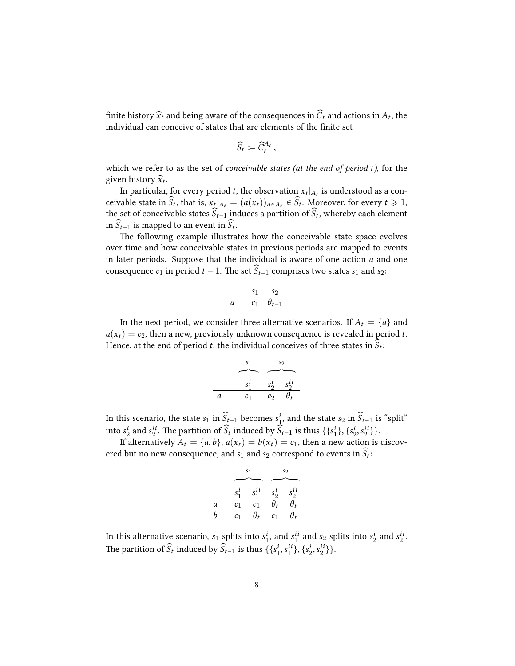finite history  $\hat{x}_t$  and being aware of the consequences in  $C_t$  and actions in  $A_t$ , the individual can conceive of states that are elements of the finite set

$$
\widehat{S}_t := \widehat{C}_t^{A_t},
$$

which we refer to as the set of *conceivable states (at the end of period t)*, for the given history  $\widehat{x}_t$ .

In particular, for every period *t*, the observation  $x_t|_{A_t}$  is understood as a conceivable state in  $S_t$ , that is,  $x_t|_{A_t} = (a(x_t))_{a \in A_t} \in S_t$ . Moreover, for every  $t \ge 1$ , the set of conceivable states  $S_{t-1}$  induces a partition of  $S_t$ , whereby each element in  $S_{t-1}$  is mapped to an event in  $S_t$ .

The following example illustrates how the conceivable state space evolves over time and how conceivable states in previous periods are mapped to events in later periods. Suppose that the individual is aware of one action *a* and one consequence  $c_1$  in period  $t - 1$ . The set  $\widehat{S}_{t-1}$  comprises two states  $s_1$  and  $s_2$ :

$$
\begin{array}{cc}\ns_1 & s_2 \\
a & c_1 \theta_{t-1}\n\end{array}
$$

In the next period, we consider three alternative scenarios. If  $A_t = \{a\}$  and  $a(x_t) = c_2$ , then a new, previously unknown consequence is revealed in period *t*. Hence, at the end of period  $t$ , the individual conceives of three states in  $S_t$ :

$$
\begin{array}{c|cc}\n s_1 & s_2 \\
\hline\n s_1^i & s_2^i & s_2^{ii} \\
 a & c_1 & c_2 & \theta_t\n\end{array}
$$

In this scenario, the state  $s_1$  in  $\widehat{S}_{t-1}$  becomes  $s_1^i$ , and the state  $s_2$  in  $\widehat{S}_{t-1}$  is "split" into  $s_2^i$  and  $s_2^{ii}$ . The partition of  $\widehat{S}_t$  induced by  $\widehat{S}_{t-1}$  is thus  $\{\{s_1^i\}, \{s_2^i, s_2^{ii}\}\}.$ 

If alternatively  $A_t = \{a, b\}$ ,  $a(x_t) = b(x_t) = c_1$ , then a new action is discovered but no new consequence, and  $s_1$  and  $s_2$  correspond to events in  $S_t$ :

|   |                |                    | $s_{2}$            |            |  |
|---|----------------|--------------------|--------------------|------------|--|
|   |                |                    |                    |            |  |
|   |                | $s_1^i$ $s_1^{ii}$ | $s_2^i$ $s_2^{ii}$ |            |  |
| a | c <sub>1</sub> | c <sub>1</sub>     | $\theta_t$         | $\theta_t$ |  |
| h | c <sub>1</sub> | $\theta_t$         | $c_{1}$            | $\theta_t$ |  |

In this alternative scenario,  $s_1$  splits into  $s_1^i$ , and  $s_1^{ii}$  and  $s_2$  splits into  $s_2^i$  and  $s_2^{ii}$ . The partition of  $\widehat{S}_t$  induced by  $\widehat{S}_{t-1}$  is thus  $\{\{s_1^i, s_1^{ii}\}, \{s_2^i, s_2^{ii}\}\}.$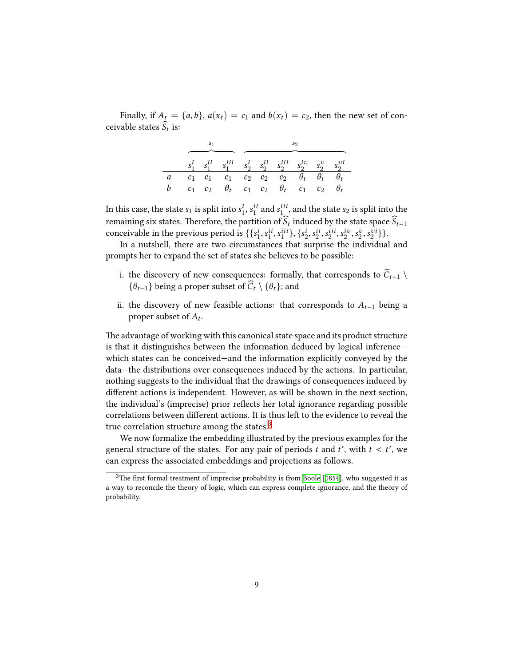Finally, if  $A_t = \{a, b\}$ ,  $a(x_t) = c_1$  and  $b(x_t) = c_2$ , then the new set of conceivable states  $S_t$  is:

|   |                |       | $s_1^i$ $s_1^{ii}$ $s_1^{iii}$ $s_2^i$ $s_2^{ii}$ $s_2^{iii}$ $s_2^{iv}$ $s_2^v$ $s_2^{vi}$ |  |                                          |            |       |       |  |
|---|----------------|-------|---------------------------------------------------------------------------------------------|--|------------------------------------------|------------|-------|-------|--|
| a |                |       | $c_1$ $c_1$ $c_1$ $c_2$ $c_2$ $c_2$ $\theta_t$ $\theta_t$                                   |  |                                          |            |       |       |  |
|   | c <sub>1</sub> | $c_2$ |                                                                                             |  | $\theta_t$ c <sub>1</sub> c <sub>2</sub> | $\theta_t$ | $c_1$ | $c_2$ |  |

In this case, the state  $s_1$  is split into  $s_1^i$ ,  $s_1^{ii}$  and  $s_1^{iii}$ , and the state  $s_2$  is split into the remaining six states. Therefore, the partition of  $S_t$  induced by the state space  $S_{t-1}$ conceivable in the previous period is  $\{\{s_1^i, s_1^{ii}, s_1^{iii}\}, \{s_2^i, s_2^{ii}, s_2^{ii}, s_2^{iv}, s_2^v, s_2^{v}\}\}.$ 

In a nutshell, there are two circumstances that surprise the individual and prompts her to expand the set of states she believes to be possible:

- i. the discovery of new consequences: formally, that corresponds to  $\widehat{C}_{t-1} \setminus$ { $\theta$ <sup>*t*</sup>−1} being a proper subset of  $\widehat{C}_t \setminus {\theta_t}$ ; and
- ii. the discovery of new feasible actions: that corresponds to *At*−<sup>1</sup> being a proper subset of *A<sup>t</sup>* .

The advantage of working with this canonical state space and its product structure is that it distinguishes between the information deduced by logical inference which states can be conceived—and the information explicitly conveyed by the data—the distributions over consequences induced by the actions. In particular, nothing suggests to the individual that the drawings of consequences induced by different actions is independent. However, as will be shown in the next section, the individual's (imprecise) prior reflects her total ignorance regarding possible correlations between different actions. It is thus left to the evidence to reveal the true correlation structure among the states.<sup>[3](#page-8-0)</sup>

We now formalize the embedding illustrated by the previous examples for the general structure of the states. For any pair of periods  $t$  and  $t'$ , with  $t < t'$ , we can express the associated embeddings and projections as follows.

<span id="page-8-0"></span> $3$ The first formal treatment of imprecise probability is from [Boole](#page-29-6) [[1854](#page-29-6)], who suggested it as a way to reconcile the theory of logic, which can express complete ignorance, and the theory of probability.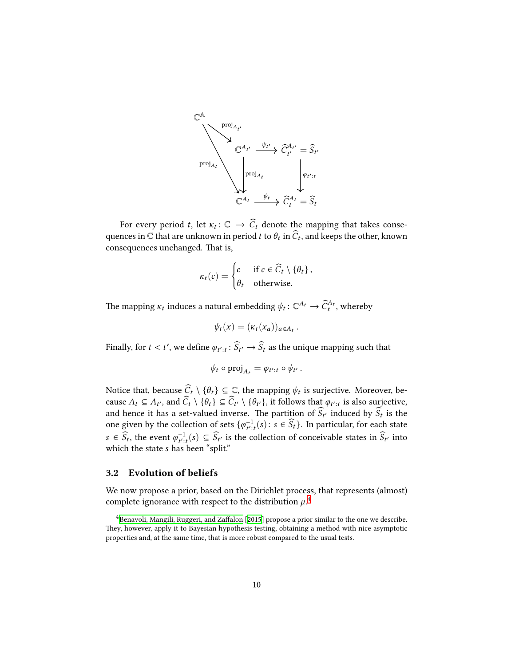

For every period *t*, let  $\kappa_t: \mathbb{C} \to \overline{C}_t$  denote the mapping that takes consequences in  $\mathbb C$  that are unknown in period  $t$  to  $\theta_t$  in  $C_t$ , and keeps the other, known consequences unchanged. That is,

$$
\kappa_t(c) = \begin{cases} c & \text{if } c \in \widehat{C}_t \setminus \{\theta_t\}, \\ \theta_t & \text{otherwise.} \end{cases}
$$

The mapping  $\kappa_t$  induces a natural embedding  $\psi_t: \mathbb{C}^{A_t} \to \widehat{C}^{A_t}_t$ , whereby

$$
\psi_t(x)=(\kappa_t(x_a))_{a\in A_t}.
$$

Finally, for  $t < t'$ , we define  $\varphi_{t':t} : \widehat{S}_{t'} \to \widehat{S}_t$  as the unique mapping such that

$$
\psi_t \circ \mathrm{proj}_{A_t} = \varphi_{t':t} \circ \psi_{t'}.
$$

Notice that, because  $C_t \setminus \{\theta_t\} \subseteq \mathbb{C}$ , the mapping  $\psi_t$  is surjective. Moreover, because  $A_t \subseteq A_{t'}$ , and  $C_t \setminus \{\theta_t\} \subseteq C_{t'} \setminus \{\theta_{t'}\}$ , it follows that  $\varphi_{t':t}$  is also surjective, and hence it has a set-valued inverse. The partition of  $S_t$  induced by  $S_t$  is the one given by the collection of sets  $\{\varphi_{t':t}^{-1}(s): s \in \widehat{S}_t\}$ . In particular, for each state  $s \in \widehat{S}_t$ , the event  $\varphi_{t':t}^{-1}(s) \subseteq \widehat{S}_{t'}$  is the collection of conceivable states in  $\widehat{S}_{t'}$  into which the state *s* has been "split."

#### <span id="page-9-1"></span>**3.2 Evolution of beliefs**

We now propose a prior, based on the Dirichlet process, that represents (almost) complete ignorance with respect to the distribution  $\mu$ .<sup>[4](#page-9-0)</sup>

<span id="page-9-0"></span> $^{4}$ [Benavoli, Mangili, Ruggeri, and Zaffalon](#page-28-3) [\[2015](#page-28-3)] propose a prior similar to the one we describe. They, however, apply it to Bayesian hypothesis testing, obtaining a method with nice asymptotic properties and, at the same time, that is more robust compared to the usual tests.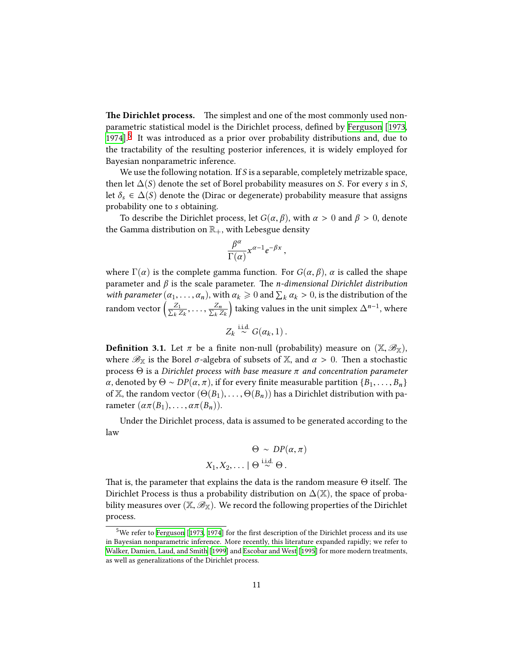**The Dirichlet process.** The simplest and one of the most commonly used nonparametric statistical model is the Dirichlet process, defined by [Ferguson](#page-29-0) [[1973](#page-29-0), [1974](#page-29-1)].<sup>[5](#page-10-0)</sup> It was introduced as a prior over probability distributions and, due to the tractability of the resulting posterior inferences, it is widely employed for Bayesian nonparametric inference.

We use the following notation. If *S* is a separable, completely metrizable space, then let  $\Delta(S)$  denote the set of Borel probability measures on *S*. For every *s* in *S*, let  $\delta_s \in \Delta(S)$  denote the (Dirac or degenerate) probability measure that assigns probability one to *s* obtaining.

To describe the Dirichlet process, let  $G(\alpha, \beta)$ , with  $\alpha > 0$  and  $\beta > 0$ , denote the Gamma distribution on  $\mathbb{R}_+$ , with Lebesgue density

$$
\frac{\beta^{\alpha}}{\Gamma(\alpha)} x^{\alpha-1} e^{-\beta x},
$$

where  $\Gamma(\alpha)$  is the complete gamma function. For  $G(\alpha, \beta)$ ,  $\alpha$  is called the shape parameter and *β* is the scale parameter. The *n-dimensional Dirichlet distribution with parameter*  $(\alpha_1, \ldots, \alpha_n)$ , with  $\alpha_k \geq 0$  and  $\sum_k \alpha_k > 0$ , is the distribution of the random vector  $\left(\frac{Z_1}{\sum_{i} Z_i}\right)$  $\frac{Z_1}{k \, Z_k}, \ldots, \frac{Z_n}{\sum_k Z_k}$ *<sup>k</sup> Z<sup>k</sup>* taking values in the unit simplex  $\Delta^{n-1}$ , where

$$
Z_k \stackrel{\text{i.i.d.}}{\sim} G(\alpha_k, 1) \, .
$$

**Definition 3.1.** Let  $\pi$  be a finite non-null (probability) measure on  $(\mathbb{X}, \mathscr{B}_{\mathbb{X}})$ , where  $\mathscr{B}_{\mathbb{X}}$  is the Borel  $\sigma$ -algebra of subsets of  $\mathbb{X}$ , and  $\alpha > 0$ . Then a stochastic process Θ is a *Dirichlet process with base measure π and concentration parameter α*, denoted by  $Θ$  ∼  $DP(α, π)$ , if for every finite measurable partition {*B*<sub>1</sub>, . . . , *B*<sub>*n*</sub>} of X, the random vector  $(\Theta(B_1), \ldots, \Theta(B_n))$  has a Dirichlet distribution with parameter  $(\alpha \pi(B_1), \ldots, \alpha \pi(B_n)).$ 

Under the Dirichlet process, data is assumed to be generated according to the law

$$
\Theta \sim DP(\alpha, \pi)
$$
  

$$
X_1, X_2, \dots \mid \Theta \stackrel{\text{i.i.d.}}{\sim} \Theta.
$$

That is, the parameter that explains the data is the random measure  $\Theta$  itself. The Dirichlet Process is thus a probability distribution on  $\Delta(\mathbb{X})$ , the space of probability measures over  $(\mathbb{X}, \mathscr{B}_{\mathbb{X}})$ . We record the following properties of the Dirichlet process.

<span id="page-10-0"></span><sup>&</sup>lt;sup>5</sup>We refer to [Ferguson](#page-29-0) [\[1973](#page-29-0), [1974](#page-29-1)] for the first description of the Dirichlet process and its use in Bayesian nonparametric inference. More recently, this literature expanded rapidly; we refer to [Walker, Damien, Laud, and Smith](#page-30-7) [\[1999\]](#page-30-7) and [Escobar and West](#page-29-7) [\[1995\]](#page-29-7) for more modern treatments, as well as generalizations of the Dirichlet process.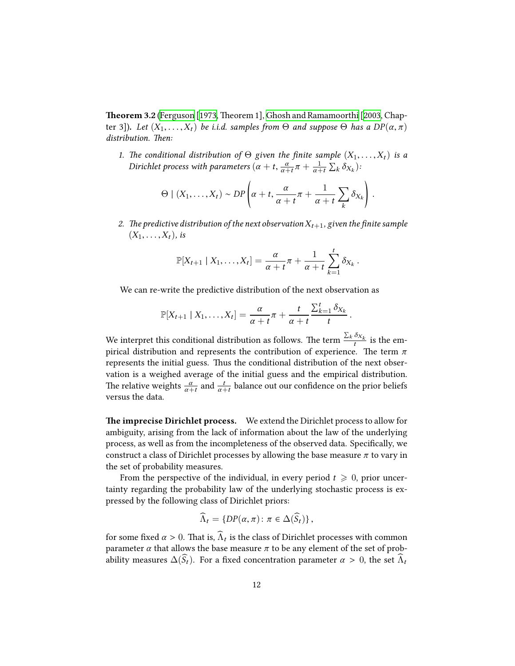<span id="page-11-0"></span>**Theorem 3.2** [\(Ferguson](#page-29-0) [\[1973](#page-29-0), Theorem 1], Ghosh and Ramamoorthi [2003, Chapter 3])**.** *Let* (*X*1, . . . ,*Xt*) *be i.i.d. samples from* Θ *and suppose* Θ *has a DP*(*α*, *π*) *distribution. Then:*

*1. The conditional distribution of*  $\Theta$  *given the finite sample*  $(X_1, \ldots, X_t)$  *is a Dirichlet process with parameters*  $(\alpha + t, \frac{\alpha}{\alpha+t}\pi + \frac{1}{\alpha+t})$  $\frac{1}{\alpha+t}\sum_{k}\delta_{X_k}$ ):

$$
\Theta \mid (X_1,\ldots,X_t) \sim DP\left(\alpha+t,\frac{\alpha}{\alpha+t}\pi+\frac{1}{\alpha+t}\sum_k \delta_{X_k}\right).
$$

2. The predictive distribution of the next observation  $X_{t+1}$ , given the finite sample  $(X_1, \ldots, X_t)$ *, is* 

$$
\mathbb{P}[X_{t+1} | X_1,\ldots,X_t] = \frac{\alpha}{\alpha+t} \pi + \frac{1}{\alpha+t} \sum_{k=1}^t \delta_{X_k}
$$

.

We can re-write the predictive distribution of the next observation as

$$
\mathbb{P}[X_{t+1} | X_1,\ldots,X_t] = \frac{\alpha}{\alpha+t} \pi + \frac{t}{\alpha+t} \frac{\sum_{k=1}^t \delta_{X_k}}{t}.
$$

We interpret this conditional distribution as follows. The term  $\frac{\sum_k \delta_{X_k}}{t}$  $\frac{X_k}{t}$  is the empirical distribution and represents the contribution of experience. The term *π* represents the initial guess. Thus the conditional distribution of the next observation is a weighed average of the initial guess and the empirical distribution. The relative weights  $\frac{\alpha}{\alpha+t}$  and  $\frac{t}{\alpha+t}$  balance out our confidence on the prior beliefs versus the data.

**The imprecise Dirichlet process.** We extend the Dirichlet process to allow for ambiguity, arising from the lack of information about the law of the underlying process, as well as from the incompleteness of the observed data. Specifically, we construct a class of Dirichlet processes by allowing the base measure *π* to vary in the set of probability measures.

From the perspective of the individual, in every period  $t \geq 0$ , prior uncertainty regarding the probability law of the underlying stochastic process is expressed by the following class of Dirichlet priors:

$$
\widehat{\Lambda}_t = \{ DP(\alpha, \pi) \colon \pi \in \Delta(\widehat{S}_t) \},
$$

for some fixed  $\alpha > 0$ . That is,  $\Lambda_t$  is the class of Dirichlet processes with common parameter  $\alpha$  that allows the base measure  $\pi$  to be any element of the set of probability measures  $\Delta(\widehat{S}_t)$ . For a fixed concentration parameter  $\alpha > 0$ , the set  $\widehat{\Lambda}_t$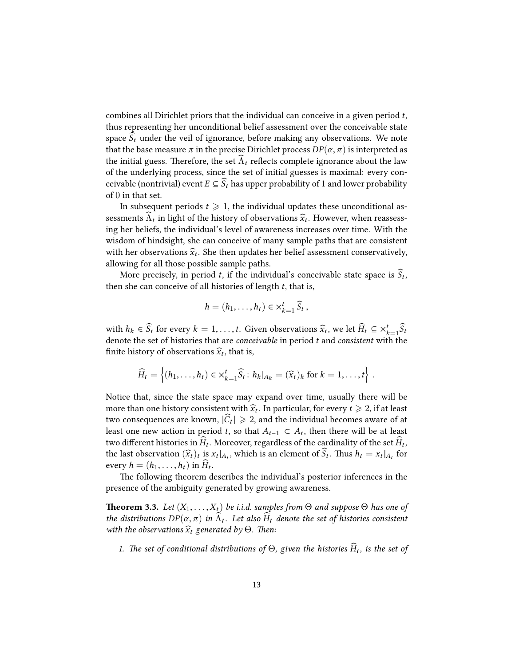combines all Dirichlet priors that the individual can conceive in a given period *t*, thus representing her unconditional belief assessment over the conceivable state space  $S_t$  under the veil of ignorance, before making any observations. We note that the base measure  $\pi$  in the precise Dirichlet process  $DP(\alpha, \pi)$  is interpreted as the initial guess. Therefore, the set  $\Lambda_t$  reflects complete ignorance about the law of the underlying process, since the set of initial guesses is maximal: every conceivable (nontrivial) event  $E \subseteq \widehat{S}_t$  has upper probability of 1 and lower probability of 0 in that set.

In subsequent periods  $t \geq 1$ , the individual updates these unconditional assessments  $\Lambda_t$  in light of the history of observations  $\hat{x}_t$ . However, when reassessing her beliefs, the individual's level of awareness increases over time. With the wisdom of hindsight, she can conceive of many sample paths that are consistent with her observations  $\hat{x}_t$ . She then updates her belief assessment conservatively, allowing for all those possible sample paths.

More precisely, in period  $t$ , if the individual's conceivable state space is  $S_t$ , then she can conceive of all histories of length *t*, that is,

$$
h=(h_1,\ldots,h_t)\in\times_{k=1}^t\widehat{S}_t,
$$

with  $h_k \in \widehat{S}_t$  for every  $k = 1, ..., t$ . Given observations  $\widehat{x}_t$ , we let  $\widehat{H}_t \subseteq \times_{k=1}^t \widehat{S}_t$ denote the set of histories that are *conceivable* in period *t* and *consistent* with the finite history of observations  $\widehat{x}_t$ , that is,

$$
\widehat{H}_t = \left\{ (h_1, \ldots, h_t) \in \times_{k=1}^t \widehat{S}_t : h_k|_{A_k} = (\widehat{x}_t)_k \text{ for } k = 1, \ldots, t \right\}.
$$

Notice that, since the state space may expand over time, usually there will be more than one history consistent with  $\widehat{x}_t$ . In particular, for every  $t \geq 2$ , if at least two consequences are known,  $|\hat{C}_t|\geqslant 2$ , and the individual becomes aware of at least one new action in period *t*, so that  $A_{t-1} \subset A_t$ , then there will be at least two different histories in  $H_t$ . Moreover, regardless of the cardinality of the set  $H_t$ , the last observation  $(\widehat{x}_t)_t$  is  $x_t|_{A_t}$ , which is an element of  $S_t$ . Thus  $h_t = x_t|_{A_t}$  for every  $h = (h_1, \ldots, h_t)$  in  $H_t$ .

The following theorem describes the individual's posterior inferences in the presence of the ambiguity generated by growing awareness.

<span id="page-12-0"></span>**Theorem 3.3.** *Let* (*X*1, . . . ,*Xt*) *be i.i.d. samples from* Θ *and suppose* Θ *has one of the distributions*  $DP(\alpha, \pi)$  *in*  $\Lambda_t$ *. Let also*  $H_t$  *denote the set of histories consistent with the observations*  $\widehat{x}_t$  *generated by*  $\Theta$ *. Then:* 

*1.* The set of conditional distributions of  $\Theta$ , given the histories  $H_t$ , is the set of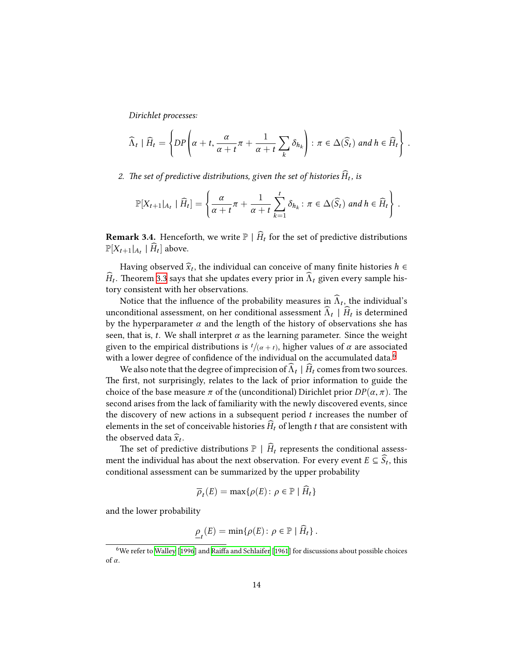*Dirichlet processes:*

$$
\widehat{\Lambda}_t \mid \widehat{H}_t = \left\{ DP \left( \alpha + t, \frac{\alpha}{\alpha + t} \pi + \frac{1}{\alpha + t} \sum_k \delta_{h_k} \right) : \pi \in \Delta(\widehat{S}_t) \text{ and } h \in \widehat{H}_t \right\}.
$$

2. The set of predictive distributions, given the set of histories  $H_t$ , is

$$
\mathbb{P}[X_{t+1}|_{A_t} | \widehat{H}_t] = \left\{ \frac{\alpha}{\alpha+t} \pi + \frac{1}{\alpha+t} \sum_{k=1}^t \delta_{h_k} : \pi \in \Delta(\widehat{S}_t) \text{ and } h \in \widehat{H}_t \right\}.
$$

**Remark 3.4.** Henceforth, we write  $\mathbb{P} \mid \widehat{H}_t$  for the set of predictive distributions  $\mathbb{P}[X_{t+1}|_{A_t} | H_t]$  above.

Having observed  $\widehat{x}_t$ , the individual can conceive of many finite histories *h* ∈ *H*<sub>t</sub>. Theorem [3.3](#page-12-0) says that she updates every prior in  $\Lambda_t$  given every sample history consistent with her observations.

Notice that the influence of the probability measures in  $\Lambda_t$ , the individual's unconditional assessment, on her conditional assessment  $\Lambda_t$  |  $H_t$  is determined by the hyperparameter  $\alpha$  and the length of the history of observations she has seen, that is, *t*. We shall interpret  $\alpha$  as the learning parameter. Since the weight given to the empirical distributions is  $t/(\alpha + t)$ , higher values of  $\alpha$  are associated with a lower degree of confidence of the individual on the accumulated data.<sup>[6](#page-13-0)</sup>

We also note that the degree of imprecision of  $\Lambda_t \mid H_t$  comes from two sources. The first, not surprisingly, relates to the lack of prior information to guide the choice of the base measure  $\pi$  of the (unconditional) Dirichlet prior  $DP(\alpha, \pi)$ . The second arises from the lack of familiarity with the newly discovered events, since the discovery of new actions in a subsequent period *t* increases the number of elements in the set of conceivable histories  $H_t$  of length *t* that are consistent with the observed data  $\widehat{x}_t$ .

The set of predictive distributions  $\mathbb{P} \mid \widehat{H}_t$  represents the conditional assessment the individual has about the next observation. For every event  $E \subseteq S_t$ , this conditional assessment can be summarized by the upper probability

$$
\overline{\rho}_t(E) = \max\{\rho(E) \colon \rho \in \mathbb{P} \mid H_t\}
$$

and the lower probability

$$
\underline{\rho}_t(E) = \min \{ \rho(E) : \rho \in \mathbb{P} \mid \widehat{H}_t \} .
$$

<span id="page-13-0"></span><sup>6</sup>We refer to [Walley](#page-30-8) [\[1996\]](#page-30-8) and [Raiffa and Schlaifer](#page-30-9) [\[1961](#page-30-9)] for discussions about possible choices of *α*.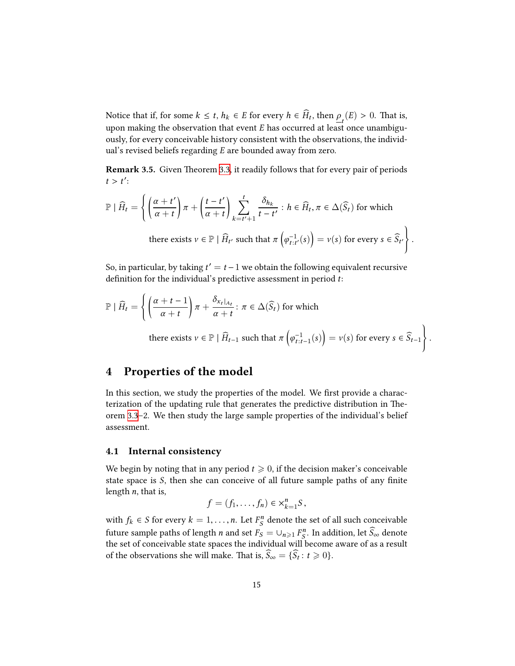Notice that if, for some  $k \leq t$ ,  $h_k \in E$  for every  $h \in H_t$ , then  $\underline{\rho}_t(E) > 0$ . That is, upon making the observation that event *E* has occurred at least once unambiguously, for every conceivable history consistent with the observations, the individual's revised beliefs regarding *E* are bounded away from zero.

<span id="page-14-1"></span>**Remark 3.5.** Given Theorem [3.3,](#page-12-0) it readily follows that for every pair of periods  $t > t'$ :

$$
\mathbb{P} | \widehat{H}_t = \left\{ \left( \frac{\alpha + t'}{\alpha + t} \right) \pi + \left( \frac{t - t'}{\alpha + t} \right) \sum_{k = t' + 1}^t \frac{\delta_{h_k}}{t - t'} : h \in \widehat{H}_t, \pi \in \Delta(\widehat{S}_t) \text{ for which}
$$
  
there exists  $v \in \mathbb{P} | \widehat{H}_{t'}$  such that  $\pi \left( \varphi_{t:t'}^{-1}(s) \right) = v(s)$  for every  $s \in \widehat{S}_{t'}$ 

.

So, in particular, by taking  $t' = t - 1$  we obtain the following equivalent recursive definition for the individual's predictive assessment in period *t*:

$$
\mathbb{P} | \widehat{H}_t = \left\{ \left( \frac{\alpha + t - 1}{\alpha + t} \right) \pi + \frac{\delta_{x_t|_{A_t}}}{\alpha + t} : \pi \in \Delta(\widehat{S}_t) \text{ for which}
$$
  
there exists  $v \in \mathbb{P} | \widehat{H}_{t-1}$  such that  $\pi \left( \varphi_{t:t-1}^{-1}(s) \right) = v(s) \text{ for every } s \in \widehat{S}_{t-1} \right\}.$ 

## <span id="page-14-0"></span>**4 Properties of the model**

In this section, we study the properties of the model. We first provide a characterization of the updating rule that generates the predictive distribution in Theorem [3.3](#page-12-0)–2. We then study the large sample properties of the individual's belief assessment.

#### <span id="page-14-2"></span>**4.1 Internal consistency**

We begin by noting that in any period  $t \geq 0$ , if the decision maker's conceivable state space is *S*, then she can conceive of all future sample paths of any finite length *n*, that is,

$$
f=(f_1,\ldots,f_n)\in\times_{k=1}^nS,
$$

with  $f_k \in S$  for every  $k = 1, ..., n$ . Let  $F_S^n$  denote the set of all such conceivable future sample paths of length *n* and set  $F_S = \cup_{n \geqslant 1} F_S^n$ . In addition, let  $\widehat{S}_\infty$  denote the set of conceivable state spaces the individual will become aware of as a result of the observations she will make. That is,  $S_\infty = \{S_t : t \geq 0\}.$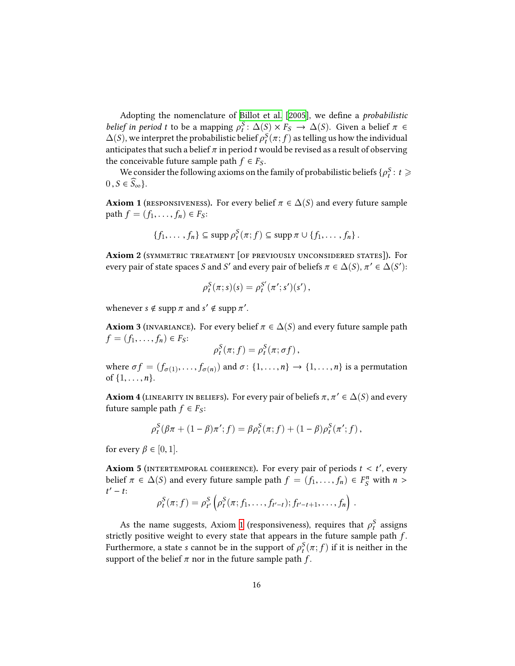Adopting the nomenclature of [Billot et al.](#page-28-1) [\[2005\]](#page-28-1), we define a *probabilistic belief in period t* to be a mapping  $\rho_t^S$ :  $\Delta(S) \times F_S \rightarrow \Delta(S)$ . Given a belief  $\pi \in$  $\Delta(S)$ , we interpret the probabilistic belief  $\rho_t^S(\pi;f)$  as telling us how the individual anticipates that such a belief  $\pi$  in period  $t$  would be revised as a result of observing the conceivable future sample path  $f \in F_S$ .

We consider the following axioms on the family of probabilistic beliefs  $\{\rho_t^S : t \geq 0\}$  $0, S \in \widehat{S}_{\infty}$ .

<span id="page-15-0"></span>**Axiom 1** (RESPONSIVENESS). For every belief  $\pi \in \Delta(S)$  and every future sample **path**  $f = (f_1, \ldots, f_n)$  ∈  $F_S$ :

$$
\{f_1,\ldots,f_n\}\subseteq \operatorname{supp}\rho_t^S(\pi;f)\subseteq \operatorname{supp}\pi\cup\{f_1,\ldots,f_n\}.
$$

<span id="page-15-1"></span>**Axiom 2** (symmetric treatment [of previously unconsidered states])**.** For every pair of state spaces *S* and *S'* and every pair of beliefs  $\pi \in \Delta(S)$ ,  $\pi' \in \Delta(S')$ :

$$
\rho_t^S(\pi; s)(s) = \rho_t^{S'}(\pi'; s')(s'),
$$

whenever  $s \notin \text{supp } \pi \text{ and } s' \notin \text{supp } \pi'.$ 

<span id="page-15-2"></span>**Axiom 3** (INVARIANCE). For every belief  $\pi \in \Delta(S)$  and every future sample path  $f = (f_1, \ldots, f_n) \in F_S$ :

$$
\rho_t^S(\pi; f) = \rho_t^S(\pi; \sigma f),
$$

where  $\sigma f = (f_{\sigma(1)}, \ldots, f_{\sigma(n)})$  and  $\sigma \colon \{1, \ldots, n\} \to \{1, \ldots, n\}$  is a permutation of  $\{1, \ldots, n\}$ .

<span id="page-15-3"></span>**Axiom 4** (LINEARITY IN BELIEFS). For every pair of beliefs  $\pi, \pi' \in \Delta(S)$  and every future sample path  $f \in F_S$ :

$$
\rho_t^S(\beta \pi + (1 - \beta) \pi'; f) = \beta \rho_t^S(\pi; f) + (1 - \beta) \rho_t^S(\pi'; f),
$$

for every  $\beta \in [0, 1]$ .

<span id="page-15-4"></span>Axiom 5 (INTERTEMPORAL COHERENCE). For every pair of periods  $t < t'$ , every belief  $\pi \in \Delta(S)$  and every future sample path  $f = (f_1, \ldots, f_n) \in F_S^n$  with  $n >$ *t* ′ − *t*:

$$
\rho_t^S(\pi; f) = \rho_{t'}^S\left(\rho_t^S(\pi; f_1, \ldots, f_{t'-t}); f_{t'-t+1}, \ldots, f_n\right).
$$

As the name suggests, Axiom [1](#page-15-0) (responsiveness), requires that  $\rho_t^S$  assigns strictly positive weight to every state that appears in the future sample path *f* . Furthermore, a state *s* cannot be in the support of  $\rho_t^{\mathcal{S}}(\pi; f)$  if it is neither in the support of the belief  $\pi$  nor in the future sample path  $f$ .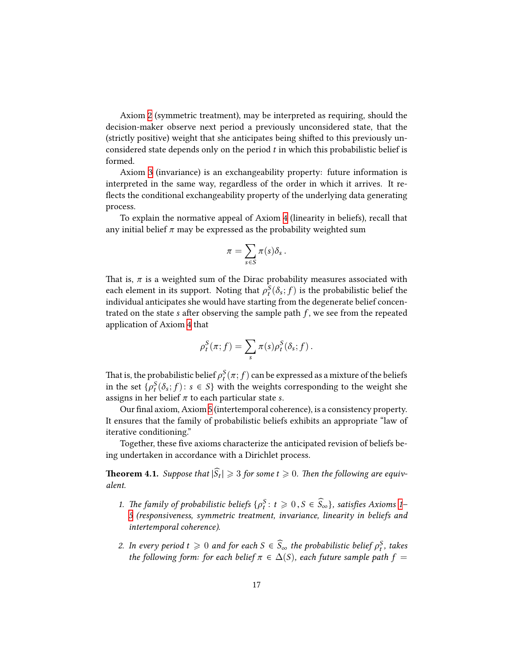Axiom [2](#page-15-1) (symmetric treatment), may be interpreted as requiring, should the decision-maker observe next period a previously unconsidered state, that the (strictly positive) weight that she anticipates being shifted to this previously unconsidered state depends only on the period *t* in which this probabilistic belief is formed.

Axiom [3](#page-15-2) (invariance) is an exchangeability property: future information is interpreted in the same way, regardless of the order in which it arrives. It reflects the conditional exchangeability property of the underlying data generating process.

To explain the normative appeal of Axiom [4](#page-15-3) (linearity in beliefs), recall that any initial belief  $\pi$  may be expressed as the probability weighted sum

$$
\pi = \sum_{s \in S} \pi(s) \delta_s \, .
$$

That is,  $\pi$  is a weighted sum of the Dirac probability measures associated with each element in its support. Noting that  $\rho_t^S(\delta_s; f)$  is the probabilistic belief the individual anticipates she would have starting from the degenerate belief concentrated on the state *s* after observing the sample path *f* , we see from the repeated application of Axiom [4](#page-15-3) that

$$
\rho_t^S(\pi; f) = \sum_s \pi(s) \rho_t^S(\delta_s; f).
$$

That is, the probabilistic belief  $\rho_t^S(\pi;f)$  can be expressed as a mixture of the beliefs in the set  $\{\rho_t^S(\delta_s; f) \colon s \in S\}$  with the weights corresponding to the weight she assigns in her belief *π* to each particular state *s*.

Our final axiom, Axiom [5](#page-15-4) (intertemporal coherence), is a consistency property. It ensures that the family of probabilistic beliefs exhibits an appropriate "law of iterative conditioning."

Together, these five axioms characterize the anticipated revision of beliefs being undertaken in accordance with a Dirichlet process.

<span id="page-16-0"></span>**Theorem 4.1.** Suppose that  $|S_t| \geq 3$  for some  $t \geq 0$ . Then the following are equiv*alent.*

- *1. The family of probabilistic beliefs*  $\{\rho_t^S : t \geq 0, S \in \widehat{S}_\infty\}$ *, satisfies Axioms 1 [5](#page-15-4) (responsiveness, symmetric treatment, invariance, linearity in beliefs and intertemporal coherence).*
- *2. In every period*  $t \geq 0$  *and for each*  $S \in \widehat{S}_{\infty}$  *the probabilistic belief*  $\rho_t^S$ *, takes the following form: for each belief*  $\pi \in \Delta(S)$ *, each future sample path*  $f =$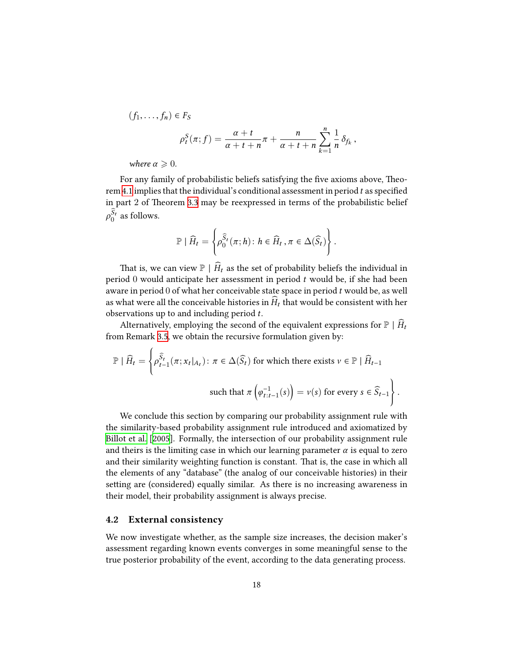$$
(f_1,\ldots,f_n) \in F_S
$$
  

$$
\rho_t^S(\pi;f) = \frac{\alpha+t}{\alpha+t+n}\pi + \frac{n}{\alpha+t+n}\sum_{k=1}^n \frac{1}{n}\delta_{f_k},
$$

*where*  $\alpha \geqslant 0$ *.* 

For any family of probabilistic beliefs satisfying the five axioms above, Theorem [4.1](#page-16-0) implies that the individual's conditional assessment in period *t* as specified in part 2 of Theorem [3.3](#page-12-0) may be reexpressed in terms of the probabilistic belief  $\rho_0^{S_t}$  as follows.

$$
\mathbb{P} | \widehat{H}_t = \left\{ \rho_0^{\widehat{S}_t}(\pi; h) \colon h \in \widehat{H}_t, \pi \in \Delta(\widehat{S}_t) \right\}.
$$

That is, we can view  $\mathbb{P} \mid \widehat{H}_t$  as the set of probability beliefs the individual in period 0 would anticipate her assessment in period *t* would be, if she had been aware in period 0 of what her conceivable state space in period *t* would be, as well as what were all the conceivable histories in  $H_t$  that would be consistent with her observations up to and including period *t*.

Alternatively, employing the second of the equivalent expressions for  $\mathbb{P} \mid \widehat{H}_t$ from Remark [3.5,](#page-14-1) we obtain the recursive formulation given by:

$$
\mathbb{P} | \widehat{H}_t = \left\{ \rho_{t-1}^{\widehat{S}_t}(\pi; x_t |_{A_t}) : \pi \in \Delta(\widehat{S}_t) \text{ for which there exists } v \in \mathbb{P} | \widehat{H}_{t-1}
$$
  
such that  $\pi \left( \varphi_{t:t-1}^{-1}(s) \right) = v(s) \text{ for every } s \in \widehat{S}_{t-1} \right\}.$ 

We conclude this section by comparing our probability assignment rule with the similarity-based probability assignment rule introduced and axiomatized by [Billot et al.](#page-28-1) [[2005\]](#page-28-1). Formally, the intersection of our probability assignment rule and theirs is the limiting case in which our learning parameter  $\alpha$  is equal to zero and their similarity weighting function is constant. That is, the case in which all the elements of any "database" (the analog of our conceivable histories) in their setting are (considered) equally similar. As there is no increasing awareness in their model, their probability assignment is always precise.

#### <span id="page-17-0"></span>**4.2 External consistency**

We now investigate whether, as the sample size increases, the decision maker's assessment regarding known events converges in some meaningful sense to the true posterior probability of the event, according to the data generating process.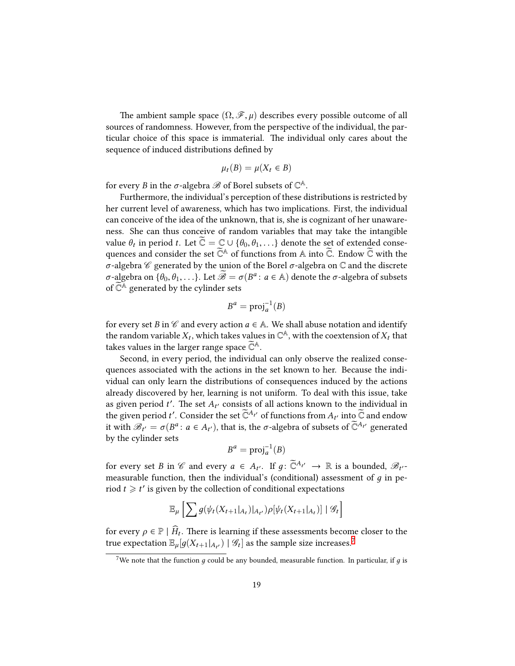The ambient sample space  $(\Omega, \mathscr{F}, \mu)$  describes every possible outcome of all sources of randomness. However, from the perspective of the individual, the particular choice of this space is immaterial. The individual only cares about the sequence of induced distributions defined by

$$
\mu_t(B) = \mu(X_t \in B)
$$

for every *B* in the  $\sigma$ -algebra  $\mathscr B$  of Borel subsets of  $\mathbb C^{\mathbb A}.$ 

Furthermore, the individual's perception of these distributions is restricted by her current level of awareness, which has two implications. First, the individual can conceive of the idea of the unknown, that is, she is cognizant of her unawareness. She can thus conceive of random variables that may take the intangible value  $\theta_t$  in period *t*. Let  $\mathbb{C} = \mathbb{C} \cup \{\theta_0, \theta_1, \ldots\}$  denote the set of extended consequences and consider the set  $\widetilde{\mathbb{C}}^{\mathbb{A}}$  of functions from  $\mathbb A$  into  $\widetilde{\mathbb C}$ . Endow  $\widetilde{\mathbb C}$  with the *σ*-algebra *C* generated by the union of the Borel *σ*-algebra on C and the discrete *σ*-algebra on  $\{\theta_0, \theta_1, \ldots\}$ . Let  $\widetilde{\mathscr{B}} = \sigma(B^a : a \in A)$  denote the *σ*-algebra of subsets of  $\widetilde{\mathbb{C}}^{\mathbb{A}}$  generated by the cylinder sets

$$
B^a = \text{proj}_a^{-1}(B)
$$

for every set *B* in  $\mathscr C$  and every action  $a \in A$ . We shall abuse notation and identify the random variable  $X_t$ , which takes values in  $\mathbb{C}^{\mathbb{A}},$  with the coextension of  $X_t$  that takes values in the larger range space  $\mathbb{C}^{\mathbb{A}}$ .

Second, in every period, the individual can only observe the realized consequences associated with the actions in the set known to her. Because the individual can only learn the distributions of consequences induced by the actions already discovered by her, learning is not uniform. To deal with this issue, take as given period *t* ′ . The set *A<sup>t</sup>* ′ consists of all actions known to the individual in the given period  $t'$ . Consider the set  $\widetilde{\mathbb{C}}^{A_{t'}}$  of functions from  $A_{t'}$  into  $\widetilde{\mathbb{C}}$  and endow it with  $\mathscr{B}_{t'} = \sigma(B^a: a \in A_{t'})$ , that is, the  $\sigma$ -algebra of subsets of  $\widetilde{\mathbb{C}}^{A_{t'}}$  generated by the cylinder sets

$$
B^a = \text{proj}_a^{-1}(B)
$$

for every set *B* in *C* and every  $a \in A_{t'}$ . If  $g: \mathbb{C}^{A_{t'}} \to \mathbb{R}$  is a bounded,  $\mathscr{B}_{t'}$ measurable function, then the individual's (conditional) assessment of *д* in period  $t \geq t'$  is given by the collection of conditional expectations

$$
\mathbb{E}_{\mu}\left[\sum g(\psi_t(X_{t+1}|_{A_t})|_{A_{t'}})\rho[\psi_t(X_{t+1}|_{A_t})] | \mathcal{G}_t\right]
$$

for every  $\rho \in \mathbb{P} \mid \hat{H}_t$ . There is learning if these assessments become closer to the true expectation  $\mathbb{E}_{\mu}[g(X_{t+1}|_{A_{t'}}) \mid \mathscr{G}_{t}]$  as the sample size increases.<sup>[7](#page-18-0)</sup>

<span id="page-18-0"></span><sup>&</sup>lt;sup>7</sup>We note that the function  $q$  could be any bounded, measurable function. In particular, if  $q$  is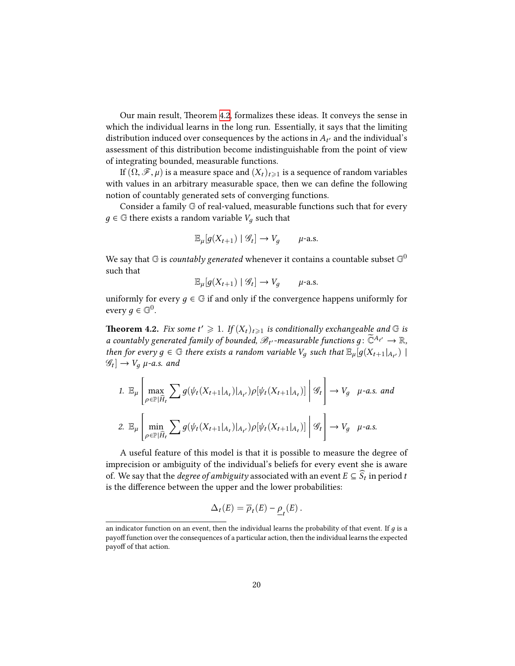Our main result, Theorem [4.2,](#page-19-0) formalizes these ideas. It conveys the sense in which the individual learns in the long run. Essentially, it says that the limiting distribution induced over consequences by the actions in  $A_{t'}$  and the individual's assessment of this distribution become indistinguishable from the point of view of integrating bounded, measurable functions.

If  $(\Omega, \mathcal{F}, \mu)$  is a measure space and  $(X_t)_{t\geq 1}$  is a sequence of random variables with values in an arbitrary measurable space, then we can define the following notion of countably generated sets of converging functions.

Consider a family G of real-valued, measurable functions such that for every  $q \in \mathbb{G}$  there exists a random variable  $V_q$  such that

$$
\mathbb{E}_{\mu}[g(X_{t+1}) \mid \mathscr{G}_t] \to V_g \qquad \mu\text{-a.s.}
$$

We say that  ${\mathbb G}$  is *countably generated* whenever it contains a countable subset  ${\mathbb G}^0$ such that

$$
\mathbb{E}_{\mu}[g(X_{t+1}) \mid \mathcal{G}_t] \to V_g \qquad \mu\text{-a.s.}
$$

uniformly for every  $q \in \mathbb{G}$  if and only if the convergence happens uniformly for every  $g \in \mathbb{G}^0$ .

<span id="page-19-0"></span>**Theorem 4.2.** Fix some  $t' \geq 1$ . If  $(X_t)_{t \geq 1}$  is conditionally exchangeable and G is *a* countably generated family of bounded,  $\mathscr{B}_{t'}$ -measurable functions  $g\colon \widetilde{\mathbb{C}}^{A_{t'}}\to \mathbb{R}$ , *then for every*  $g \in \mathbb{G}$  *there exists a random variable*  $V_g$  *such that*  $\mathbb{E}_{\mu}[g(X_{t+1}|_{A_{t'}}))$  $\mathscr{G}_t] \rightarrow V_g$   $\mu$ -a.s. and

1. 
$$
\mathbb{E}_{\mu} \left[ \max_{\rho \in \mathbb{P}[\hat{H}_t} \sum g(\psi_t(X_{t+1}|_{A_t}) |_{A_{t'}}) \rho[\psi_t(X_{t+1}|_{A_t})] \middle| \mathcal{G}_t \right] \to V_g
$$
  $\mu$ -a.s. and  
\n2.  $\mathbb{E}_{\mu} \left[ \min_{\rho \in \mathbb{P}[\hat{H}_t} \sum g(\psi_t(X_{t+1}|_{A_t}) |_{A_{t'}}) \rho[\psi_t(X_{t+1}|_{A_t})] \middle| \mathcal{G}_t \right] \to V_g$   $\mu$ -a.s.

A useful feature of this model is that it is possible to measure the degree of imprecision or ambiguity of the individual's beliefs for every event she is aware of. We say that the *degree of ambiguity* associated with an event  $E \subseteq S_t$  in period *t* is the difference between the upper and the lower probabilities:

$$
\Delta_t(E) = \overline{\rho}_t(E) - \underline{\rho}_t(E).
$$

an indicator function on an event, then the individual learns the probability of that event. If  $q$  is a payoff function over the consequences of a particular action, then the individual learns the expected payoff of that action.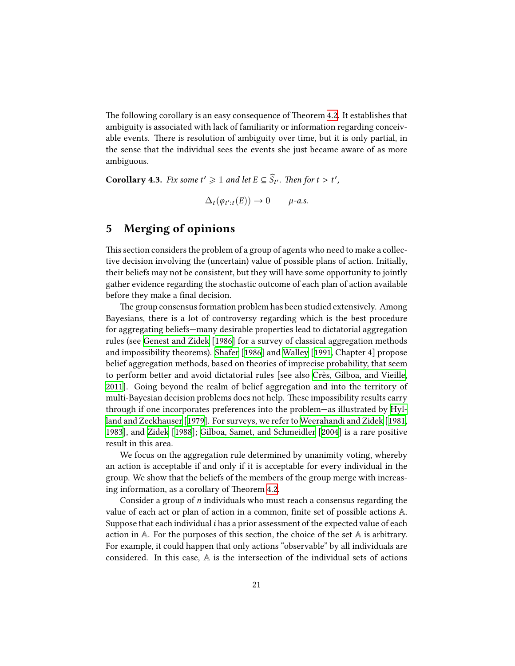The following corollary is an easy consequence of Theorem [4.2](#page-19-0). It establishes that ambiguity is associated with lack of familiarity or information regarding conceivable events. There is resolution of ambiguity over time, but it is only partial, in the sense that the individual sees the events she just became aware of as more ambiguous.

**Corollary 4.3.** *Fix some*  $t' \geq 1$  *and let*  $E \subseteq \widehat{S}_{t'}$ *. Then for*  $t > t'$ *,* 

 $\Delta_t(\varphi_{t':t}(E)) \to 0$  *µ-a.s.* 

# <span id="page-20-0"></span>**5 Merging of opinions**

This section considers the problem of a group of agents who need to make a collective decision involving the (uncertain) value of possible plans of action. Initially, their beliefs may not be consistent, but they will have some opportunity to jointly gather evidence regarding the stochastic outcome of each plan of action available before they make a final decision.

The group consensus formation problem has been studied extensively. Among Bayesians, there is a lot of controversy regarding which is the best procedure for aggregating beliefs—many desirable properties lead to dictatorial aggregation rules (see [Genest and Zidek](#page-29-9) [[1986](#page-29-9)] for a survey of classical aggregation methods and impossibility theorems). [Shafer](#page-30-10) [[1986\]](#page-30-10) and [Walley](#page-30-11) [[1991,](#page-30-11) Chapter 4] propose belief aggregation methods, based on theories of imprecise probability, that seem to perform better and avoid dictatorial rules [see also [Crès, Gilboa, and Vieille](#page-29-10), [2011](#page-29-10)]. Going beyond the realm of belief aggregation and into the territory of multi-Bayesian decision problems does not help. These impossibility results carry through if one incorporates preferences into the problem—as illustrated by [Hyl](#page-29-11)[land and Zeckhauser](#page-29-11) [[1979\]](#page-29-11). For surveys, we refer to [Weerahandi and Zidek](#page-30-12) [[1981](#page-30-12), [1983](#page-31-0)], and [Zidek](#page-31-1) [[1988](#page-31-1)]; [Gilboa, Samet, and Schmeidler](#page-29-12) [\[2004\]](#page-29-12) is a rare positive result in this area.

We focus on the aggregation rule determined by unanimity voting, whereby an action is acceptable if and only if it is acceptable for every individual in the group. We show that the beliefs of the members of the group merge with increasing information, as a corollary of Theorem [4.2](#page-19-0).

Consider a group of *n* individuals who must reach a consensus regarding the value of each act or plan of action in a common, finite set of possible actions A. Suppose that each individual *i* has a prior assessment of the expected value of each action in  $A$ . For the purposes of this section, the choice of the set  $A$  is arbitrary. For example, it could happen that only actions "observable" by all individuals are considered. In this case,  $A$  is the intersection of the individual sets of actions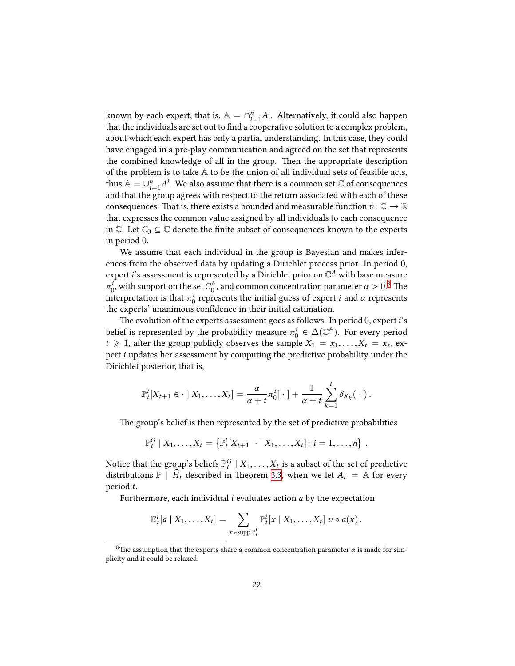known by each expert, that is,  $\mathbb{A} = \cap_{i=1}^n A^i$ . Alternatively, it could also happen that the individuals are set out to find a cooperative solution to a complex problem, about which each expert has only a partial understanding. In this case, they could have engaged in a pre-play communication and agreed on the set that represents the combined knowledge of all in the group. Then the appropriate description of the problem is to take A to be the union of all individual sets of feasible acts, thus  $\mathbb{A} = \cup_{i=1}^n A^i$ . We also assume that there is a common set  $\mathbb C$  of consequences and that the group agrees with respect to the return associated with each of these consequences. That is, there exists a bounded and measurable function  $v: \mathbb{C} \to \mathbb{R}$ that expresses the common value assigned by all individuals to each consequence in  $\mathbb{C}$ . Let  $C_0 \subseteq \mathbb{C}$  denote the finite subset of consequences known to the experts in period 0.

We assume that each individual in the group is Bayesian and makes inferences from the observed data by updating a Dirichlet process prior. In period 0, expert *i*'s assessment is represented by a Dirichlet prior on  $\mathbb{C}^A$  with base measure  $\pi_0^i$ , with support on the set  $C_0^{\mathbb{A}}$ , and common concentration parameter  $\alpha > 0$ .<sup>[8](#page-21-0)</sup> The interpretation is that  $\pi_0^i$  represents the initial guess of expert *i* and  $\alpha$  represents the experts' unanimous confidence in their initial estimation.

The evolution of the experts assessment goes as follows. In period 0, expert*i*'s belief is represented by the probability measure  $\pi_0^i \in \Delta(\mathbb{C}^{\mathbb{A}})$ . For every period  $t \ge 1$ , after the group publicly observes the sample  $X_1 = x_1, \ldots, X_t = x_t$ , expert *i* updates her assessment by computing the predictive probability under the Dirichlet posterior, that is,

$$
\mathbb{P}_t^i[X_{t+1} \in \cdot \mid X_1, \ldots, X_t] = \frac{\alpha}{\alpha + t} \pi_0^i[\cdot] + \frac{1}{\alpha + t} \sum_{k=1}^t \delta_{X_k}(\cdot).
$$

The group's belief is then represented by the set of predictive probabilities

$$
\mathbb{P}_t^G | X_1, \ldots, X_t = \{ \mathbb{P}_t^i [X_{t+1} \cdot | X_1, \ldots, X_t] : i = 1, \ldots, n \}.
$$

Notice that the group's beliefs  $\mathbb{P}^G_t \mid X_1, \ldots, X_t$  is a subset of the set of predictive distributions  $\mathbb{P}$  |  $\hat{H}_t$  described in Theorem [3.3,](#page-12-0) when we let  $A_t = \mathbb{A}$  for every period *t*.

Furthermore, each individual *i* evaluates action *a* by the expectation

$$
\mathbb{E}_t^i[a \mid X_1,\ldots,X_t] = \sum_{x \in \text{supp } \mathbb{P}_t^i} \mathbb{P}_t^i[x \mid X_1,\ldots,X_t] \, v \circ a(x) \, .
$$

<span id="page-21-0"></span><sup>&</sup>lt;sup>8</sup>The assumption that the experts share a common concentration parameter  $\alpha$  is made for simplicity and it could be relaxed.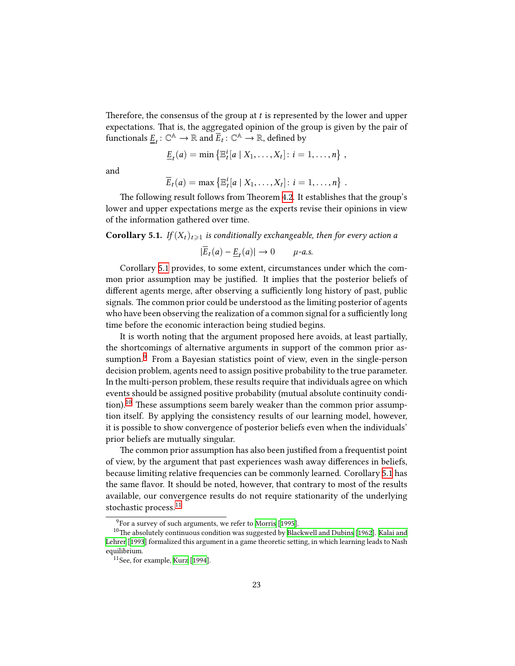Therefore, the consensus of the group at *t* is represented by the lower and upper expectations. That is, the aggregated opinion of the group is given by the pair of functionals  $\underline{E}_t\colon\mathbb{C}^{\mathbb{A}}\to\mathbb{R}$  and  $\overline{E}_t\colon\mathbb{C}^{\mathbb{A}}\to\mathbb{R}$ , defined by

$$
\underline{E}_t(a) = \min \left\{ \mathbb{E}_t^i[a \mid X_1, \ldots, X_t] : i = 1, \ldots, n \right\},
$$

and

$$
\overline{E}_t(a) = \max \left\{ \mathbb{E}_t^i[a \mid X_1, \ldots, X_t] : i = 1, \ldots, n \right\} .
$$

The following result follows from Theorem [4.2](#page-19-0). It establishes that the group's lower and upper expectations merge as the experts revise their opinions in view of the information gathered over time.

<span id="page-22-0"></span>**Corollary 5.1.** *If*  $(X_t)_{t\geq 1}$  *is conditionally exchangeable, then for every action a* 

$$
|\overline{E}_t(a) - \underline{E}_t(a)| \to 0 \qquad \mu\text{-}a.s.
$$

Corollary [5.1](#page-22-0) provides, to some extent, circumstances under which the common prior assumption may be justified. It implies that the posterior beliefs of different agents merge, after observing a sufficiently long history of past, public signals. The common prior could be understood as the limiting posterior of agents who have been observing the realization of a common signal for a sufficiently long time before the economic interaction being studied begins.

It is worth noting that the argument proposed here avoids, at least partially, the shortcomings of alternative arguments in support of the common prior as-sumption.<sup>[9](#page-22-1)</sup> From a Bayesian statistics point of view, even in the single-person decision problem, agents need to assign positive probability to the true parameter. In the multi-person problem, these results require that individuals agree on which events should be assigned positive probability (mutual absolute continuity condi-tion).<sup>[10](#page-22-2)</sup> These assumptions seem barely weaker than the common prior assumption itself. By applying the consistency results of our learning model, however, it is possible to show convergence of posterior beliefs even when the individuals' prior beliefs are mutually singular.

The common prior assumption has also been justified from a frequentist point of view, by the argument that past experiences wash away differences in beliefs, because limiting relative frequencies can be commonly learned. Corollary [5.1](#page-22-0) has the same flavor. It should be noted, however, that contrary to most of the results available, our convergence results do not require stationarity of the underlying stochastic process.<sup>[11](#page-22-3)</sup>

<span id="page-22-2"></span><span id="page-22-1"></span> $^9\!$  For a survey of such arguments, we refer to [Morris](#page-30-13) [[1995](#page-30-13)].

 $^{10}\rm{The}$  absolutely continuous condition was suggested by [Blackwell and Dubins](#page-28-4) [[1962](#page-28-4)]. [Kalai and](#page-29-13) [Lehrer](#page-29-13) [\[1993\]](#page-29-13) formalized this argument in a game theoretic setting, in which learning leads to Nash equilibrium.

<span id="page-22-3"></span><sup>11</sup>See, for example, [Kurz](#page-30-14) [\[1994\]](#page-30-14).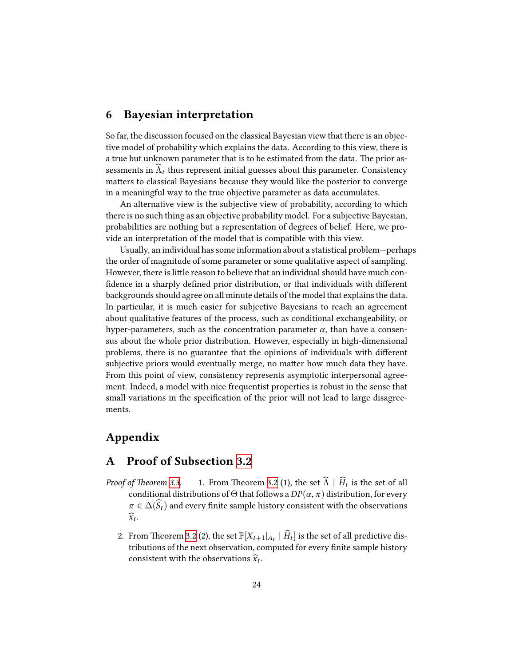### <span id="page-23-0"></span>**6 Bayesian interpretation**

So far, the discussion focused on the classical Bayesian view that there is an objective model of probability which explains the data. According to this view, there is a true but unknown parameter that is to be estimated from the data. The prior assessments in  $\Lambda_t$  thus represent initial guesses about this parameter. Consistency matters to classical Bayesians because they would like the posterior to converge in a meaningful way to the true objective parameter as data accumulates.

An alternative view is the subjective view of probability, according to which there is no such thing as an objective probability model. For a subjective Bayesian, probabilities are nothing but a representation of degrees of belief. Here, we provide an interpretation of the model that is compatible with this view.

Usually, an individual has some information about a statistical problem—perhaps the order of magnitude of some parameter or some qualitative aspect of sampling. However, there is little reason to believe that an individual should have much confidence in a sharply defined prior distribution, or that individuals with different backgrounds should agree on all minute details of the model that explains the data. In particular, it is much easier for subjective Bayesians to reach an agreement about qualitative features of the process, such as conditional exchangeability, or hyper-parameters, such as the concentration parameter  $\alpha$ , than have a consensus about the whole prior distribution. However, especially in high-dimensional problems, there is no guarantee that the opinions of individuals with different subjective priors would eventually merge, no matter how much data they have. From this point of view, consistency represents asymptotic interpersonal agreement. Indeed, a model with nice frequentist properties is robust in the sense that small variations in the specification of the prior will not lead to large disagreements.

## **Appendix**

### **A Proof of Subsection [3.2](#page-9-1)**

- *Proof of Theorem [3.3](#page-12-0).* 1. From Theorem [3.2](#page-11-0) (1), the set  $\Lambda \mid H_t$  is the set of all conditional distributions of  $\Theta$  that follows a  $DP(\alpha, \pi)$  distribution, for every  $\pi \in \Delta(\widehat{S}_t)$  and every finite sample history consistent with the observations  $\widehat{x}_t$ .
	- 2. From Theorem [3.2](#page-11-0) (2), the set  $\mathbb{P}[X_{t+1}|_{A_t} | H_t]$  is the set of all predictive distributions of the next observation, computed for every finite sample history consistent with the observations  $\widehat{x}_t$ .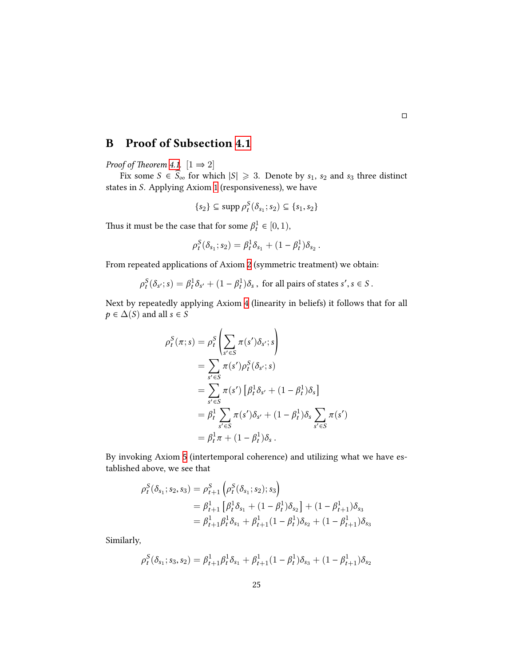# **B Proof of Subsection [4.1](#page-14-2)**

*Proof of Theorem [4.1](#page-16-0).*  $[1 \Rightarrow 2]$ 

Fix some  $S \in \widehat{S}_{\infty}$  for which  $|S| \ge 3$ . Denote by  $s_1$ ,  $s_2$  and  $s_3$  three distinct states in *S*. Applying Axiom [1](#page-15-0) (responsiveness), we have

$$
\{s_2\} \subseteq \operatorname{supp} \rho_t^S(\delta_{s_1}; s_2) \subseteq \{s_1, s_2\}
$$

Thus it must be the case that for some  $\beta_t^1 \in [0, 1)$ ,

$$
\rho_t^S(\delta_{s_1}; s_2) = \beta_t^1 \delta_{s_1} + (1 - \beta_t^1) \delta_{s_2}.
$$

From repeated applications of Axiom [2](#page-15-1) (symmetric treatment) we obtain:

 $\rho_t^S(\delta_{s'}; s) = \beta_t^1 \delta_{s'} + (1 - \beta_t^1) \delta_s$ , for all pairs of states  $s', s \in S$ .

Next by repeatedly applying Axiom [4](#page-15-3) (linearity in beliefs) it follows that for all  $p \in \Delta(S)$  and all  $s \in S$ 

$$
\rho_t^S(\pi; s) = \rho_t^S \left( \sum_{s' \in S} \pi(s') \delta_{s'}; s \right)
$$
  
= 
$$
\sum_{s' \in S} \pi(s') \rho_t^S(\delta_{s'}; s)
$$
  
= 
$$
\sum_{s' \in S} \pi(s') \left[ \beta_t^1 \delta_{s'} + (1 - \beta_t^1) \delta_s \right]
$$
  
= 
$$
\beta_t^1 \sum_{s' \in S} \pi(s') \delta_{s'} + (1 - \beta_t^1) \delta_s \sum_{s' \in S} \pi(s')
$$
  
= 
$$
\beta_t^1 \pi + (1 - \beta_t^1) \delta_s.
$$

By invoking Axiom [5](#page-15-4) (intertemporal coherence) and utilizing what we have established above, we see that

$$
\rho_t^S(\delta_{s_1}; s_2, s_3) = \rho_{t+1}^S \left( \rho_t^S(\delta_{s_1}; s_2); s_3 \right)
$$
  
=  $\beta_{t+1}^1 \left[ \beta_t^1 \delta_{s_1} + (1 - \beta_t^1) \delta_{s_2} \right] + (1 - \beta_{t+1}^1) \delta_{s_3}$   
=  $\beta_{t+1}^1 \beta_t^1 \delta_{s_1} + \beta_{t+1}^1 (1 - \beta_t^1) \delta_{s_2} + (1 - \beta_{t+1}^1) \delta_{s_3}$ 

Similarly,

$$
\rho_t^S(\delta_{s_1}; s_3, s_2) = \beta_{t+1}^1 \beta_t^1 \delta_{s_1} + \beta_{t+1}^1 (1 - \beta_t^1) \delta_{s_3} + (1 - \beta_{t+1}^1) \delta_{s_2}
$$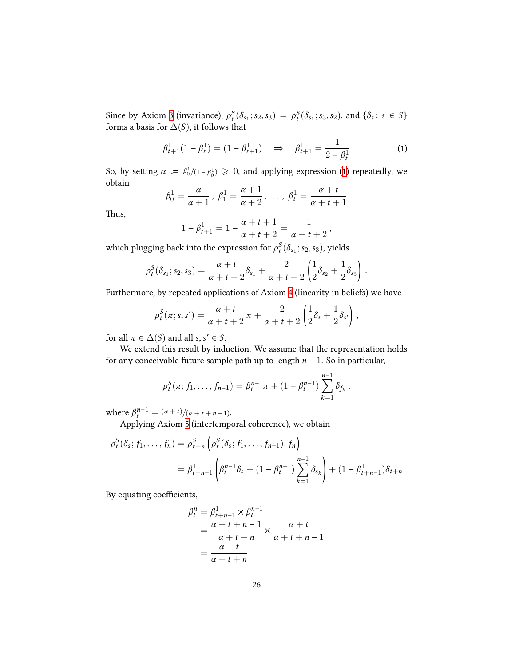Since by Axiom [3](#page-15-2) (invariance),  $\rho_t^S(\delta_{s_1}; s_2, s_3) = \rho_t^S(\delta_{s_1}; s_3, s_2)$ , and  $\{\delta_s : s \in S\}$ forms a basis for  $\Delta(S)$ , it follows that

<span id="page-25-0"></span>
$$
\beta_{t+1}^1 (1 - \beta_t^1) = (1 - \beta_{t+1}^1) \quad \Rightarrow \quad \beta_{t+1}^1 = \frac{1}{2 - \beta_t^1} \tag{1}
$$

So,by setting  $\alpha := \frac{\beta_0^1}{(1 - \beta_0^1)} \geq 0$  $\alpha := \frac{\beta_0^1}{(1 - \beta_0^1)} \geq 0$  $\alpha := \frac{\beta_0^1}{(1 - \beta_0^1)} \geq 0$ , and applying expression (1) repeatedly, we obtain

$$
\beta_0^1 = \frac{\alpha}{\alpha+1}, \ \beta_1^1 = \frac{\alpha+1}{\alpha+2}, \ldots, \ \beta_t^1 = \frac{\alpha+t}{\alpha+t+1}
$$

Thus,

$$
1 - \beta_{t+1}^1 = 1 - \frac{\alpha + t + 1}{\alpha + t + 2} = \frac{1}{\alpha + t + 2},
$$

which plugging back into the expression for  $\rho_t^S(\delta_{s_1}; s_2, s_3)$ , yields

$$
\rho_t^S(\delta_{s_1}; s_2, s_3) = \frac{\alpha + t}{\alpha + t + 2} \delta_{s_1} + \frac{2}{\alpha + t + 2} \left( \frac{1}{2} \delta_{s_2} + \frac{1}{2} \delta_{s_3} \right).
$$

Furthermore, by repeated applications of Axiom [4](#page-15-3) (linearity in beliefs) we have

$$
\rho_t^S(\pi;s,s') = \frac{\alpha+t}{\alpha+t+2} \pi + \frac{2}{\alpha+t+2} \left( \frac{1}{2} \delta_s + \frac{1}{2} \delta_{s'} \right),
$$

for all  $\pi \in \Delta(S)$  and all  $s, s' \in S$ .

We extend this result by induction. We assume that the representation holds for any conceivable future sample path up to length *n* − 1. So in particular,

$$
\rho_t^S(\pi; f_1,\ldots,f_{n-1}) = \beta_t^{n-1}\pi + (1-\beta_t^{n-1})\sum_{k=1}^{n-1}\delta_{f_k},
$$

where  $\beta_t^{n-1} = \frac{(\alpha + t)}{(\alpha + t + n - 1)}$ .

Applying Axiom [5](#page-15-4) (intertemporal coherence), we obtain

 $\lambda$ 

$$
\rho_t^S(\delta_s; f_1, \dots, f_n) = \rho_{t+n}^S \left( \rho_t^S(\delta_s; f_1, \dots, f_{n-1}); f_n \right)
$$
  
=  $\beta_{t+n-1}^1 \left( \beta_t^{n-1} \delta_s + (1 - \beta_t^{n-1}) \sum_{k=1}^{n-1} \delta_{s_k} \right) + (1 - \beta_{t+n-1}^1) \delta_{t+n}$ 

By equating coefficients,

$$
\beta_t^n = \beta_{t+n-1}^1 \times \beta_t^{n-1}
$$
  
= 
$$
\frac{\alpha + t + n - 1}{\alpha + t + n} \times \frac{\alpha + t}{\alpha + t + n - 1}
$$
  
= 
$$
\frac{\alpha + t}{\alpha + t + n}
$$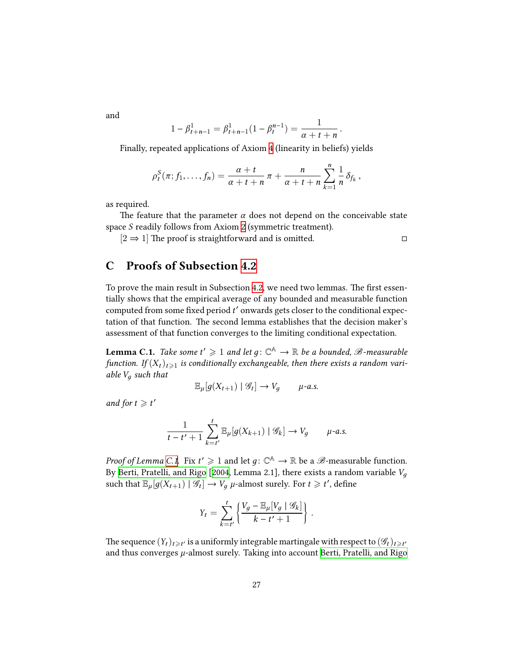and

$$
1 - \beta_{t+n-1}^1 = \beta_{t+n-1}^1 (1 - \beta_t^{n-1}) = \frac{1}{\alpha + t + n}.
$$

Finally, repeated applications of Axiom [4](#page-15-3) (linearity in beliefs) yields

$$
\rho_t^S(\pi; f_1,\ldots,f_n)=\frac{\alpha+t}{\alpha+t+n}\,\pi+\frac{n}{\alpha+t+n}\sum_{k=1}^n\frac{1}{n}\,\delta_{f_k}\,,
$$

as required.

The feature that the parameter  $\alpha$  does not depend on the conceivable state space *S* readily follows from Axiom [2](#page-15-1) (symmetric treatment).

 $[2 \Rightarrow 1]$  The proof is straightforward and is omitted.  $\Box$ 

### **C Proofs of Subsection [4.2](#page-17-0)**

To prove the main result in Subsection [4.2](#page-17-0), we need two lemmas. The first essentially shows that the empirical average of any bounded and measurable function computed from some fixed period *t* ′ onwards gets closer to the conditional expectation of that function. The second lemma establishes that the decision maker's assessment of that function converges to the limiting conditional expectation.

<span id="page-26-0"></span>**Lemma C.1.** *Take some t'*  $\geqslant 1$  *and let g*:  $\mathbb{C}^{\mathbb{A}} \to \mathbb{R}$  *be a bounded,*  $\mathscr{B}$ *-measurable function.* If  $(X_t)_{t\geq 1}$  is conditionally exchangeable, then there exists a random vari*able V<sup>д</sup> such that*

$$
\mathbb{E}_{\mu}[g(X_{t+1}) \mid \mathscr{G}_t] \to V_g \qquad \mu\text{-}a.s.
$$

*and for*  $t \geq t'$ 

$$
\frac{1}{t-t'+1} \sum_{k=t'}^{t} \mathbb{E}_{\mu}[g(X_{k+1}) \mid \mathscr{G}_{k}] \to V_{g} \qquad \mu\text{-}a.s.
$$

*Proof of Lemma [C.1](#page-26-0).* Fix  $t' \geqslant 1$  and let  $g \colon \mathbb{C}^{\mathbb{A}} \to \mathbb{R}$  be a  $\mathscr{B}$ -measurable function. By [Berti, Pratelli, and Rigo](#page-28-2) [\[2004](#page-28-2), Lemma 2.1], there exists a random variable *V<sup>д</sup>* such that  $\mathbb{E}_{\mu}[g(X_{t+1}) | \mathcal{G}_t] \to V_g$   $\mu$ -almost surely. For  $t \geq t'$ , define

$$
Y_t = \sum_{k=t'}^{t} \left\{ \frac{V_g - \mathbb{E}_{\mu}[V_g \mid \mathcal{G}_k]}{k - t' + 1} \right\}.
$$

The sequence  $(Y_t)_{t\geqslant t'}$  is a uniformly integrable martingale with respect to  $(\mathscr{G}_t)_{t\geqslant t'}$ and thus converges *µ*-almost surely. Taking into account [Berti, Pratelli, and Rigo](#page-28-2)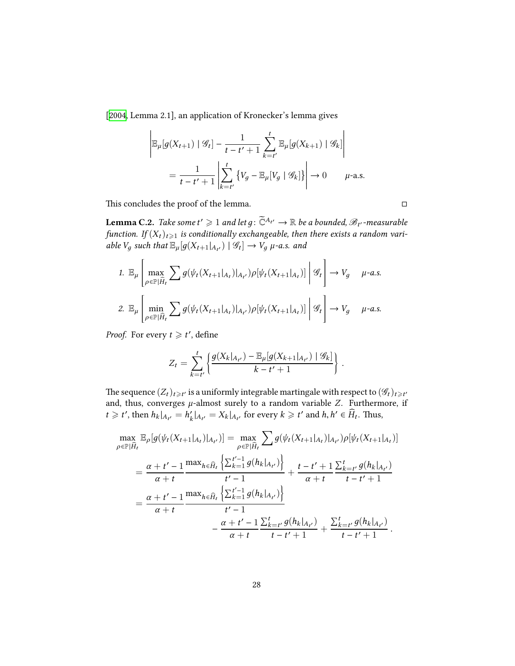[[2004,](#page-28-2) Lemma 2.1], an application of Kronecker's lemma gives

$$
\left| \mathbb{E}_{\mu}[g(X_{t+1}) \mid \mathcal{G}_{t}] - \frac{1}{t - t' + 1} \sum_{k=t'}^{t} \mathbb{E}_{\mu}[g(X_{k+1}) \mid \mathcal{G}_{k}] \right|
$$
  
= 
$$
\frac{1}{t - t' + 1} \left| \sum_{k=t'}^{t} \left\{ V_g - \mathbb{E}_{\mu}[V_g \mid \mathcal{G}_{k}] \right\} \right| \to 0 \qquad \mu\text{-a.s.}
$$

This concludes the proof of the lemma.  $□$ 

<span id="page-27-0"></span> ${\bf Lemma C.2.}$  *Take some t'*  $\geqslant 1$  *and let g* :  $\widetilde{\mathbb{C}}^{A_{t'}} \to \mathbb{R}$  *be a bounded,*  $\mathscr{B}_{t'}$ *-measurable function.* If  $(X_t)_{t\geqslant 1}$  is conditionally exchangeable, then there exists a random vari $a$ *ble*  $V_g$  *such that*  $\mathbb{E}_{\mu}[g(X_{t+1}|_{A_{t'}}) | \mathcal{G}_t] \to V_g$   $\mu$ -a.s. and

1. 
$$
\mathbb{E}_{\mu} \left[ \max_{\rho \in \mathbb{P}[\hat{H}_t} \sum g(\psi_t(X_{t+1}|_{A_t})|_{A_{t'}}) \rho[\psi_t(X_{t+1}|_{A_t})] \middle| \mathcal{G}_t \right] \to V_g \quad \mu\text{-}a.s.
$$
  
\n2.  $\mathbb{E}_{\mu} \left[ \min_{\rho \in \mathbb{P}[\hat{H}_t} \sum g(\psi_t(X_{t+1}|_{A_t})|_{A_{t'}}) \rho[\psi_t(X_{t+1}|_{A_t})] \middle| \mathcal{G}_t \right] \to V_g \quad \mu\text{-}a.s.$ 

*Proof.* For every  $t \geq t'$ , define

$$
Z_t = \sum_{k=t'}^{t} \left\{ \frac{g(X_k|_{A_{t'}}) - \mathbb{E}_{\mu}[g(X_{k+1}|_{A_{t'}}) | \mathcal{G}_k]}{k - t' + 1} \right\}.
$$

The sequence  $(Z_t)_{t\geqslant t'}$  is a uniformly integrable martingale with respect to  $(\mathscr{G}_t)_{t\geqslant t'}$ and, thus, converges  $\mu$ -almost surely to a random variable *Z*. Furthermore, if  $t \geq t'$ , then  $h_k|_{A_{t'}} = h'_k$  $\mathcal{L}_k' |_{A_{t'}} = X_k |_{A_{t'}}$  for every  $k \geq t'$  and  $h, h' \in \widehat{H}_t$ . Thus,

$$
\max_{\rho \in \mathbb{P}[\hat{H}_t} \mathbb{E}_{\rho}[g(\psi_t(X_{t+1}|_{A_t})|_{A_{t'}})] = \max_{\rho \in \mathbb{P}[\hat{H}_t} \sum_{\rho \in \mathbb{P}[\hat{H}_t} g(\psi_t(X_{t+1}|_{A_t})|_{A_{t'}}) \rho[\psi_t(X_{t+1}|_{A_t})]
$$
\n
$$
= \frac{\alpha + t' - 1}{\alpha + t} \frac{\max_{h \in \hat{H}_t} \left\{ \sum_{k=1}^{t'-1} g(h_k|_{A_{t'}}) \right\}}{t' - 1} + \frac{t - t' + 1}{\alpha + t} \frac{\sum_{k=t'}^{t} g(h_k|_{A_{t'}})}{t - t' + 1}
$$
\n
$$
= \frac{\alpha + t' - 1}{\alpha + t} \frac{\max_{h \in \hat{H}_t} \left\{ \sum_{k=1}^{t'-1} g(h_k|_{A_{t'}}) \right\}}{t' - 1}
$$
\n
$$
- \frac{\alpha + t' - 1}{\alpha + t} \frac{\sum_{k=t'}^{t} g(h_k|_{A_{t'}})}{t - t' + 1} + \frac{\sum_{k=t'}^{t} g(h_k|_{A_{t'}})}{t - t' + 1}.
$$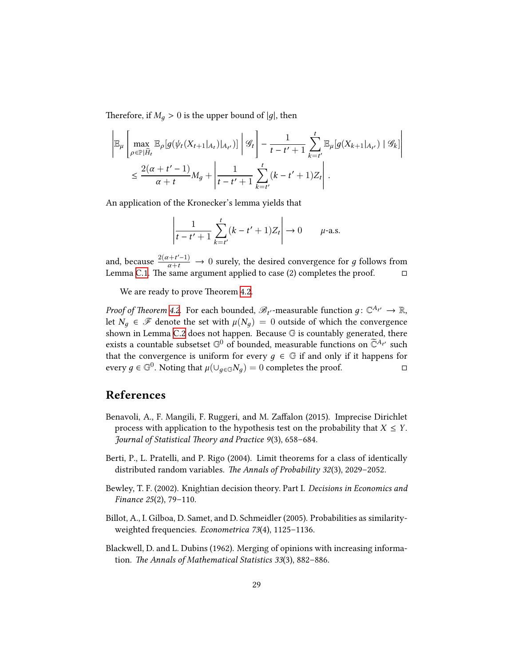Therefore, if  $M_q > 0$  is the upper bound of |g|, then

$$
\left| \mathbb{E}_{\mu} \left[ \max_{\rho \in \mathbb{P}[\hat{H}_t} \mathbb{E}_{\rho} [g(\psi_t(X_{t+1}|_{A_t})|_{A_{t'}})] \middle| \mathcal{G}_t \right] - \frac{1}{t - t' + 1} \sum_{k=t'}^{t} \mathbb{E}_{\mu} [g(X_{k+1}|_{A_{t'}}) \mid \mathcal{G}_k] \right|
$$
  

$$
\leq \frac{2(\alpha + t' - 1)}{\alpha + t} M_g + \left| \frac{1}{t - t' + 1} \sum_{k=t'}^{t} (k - t' + 1) Z_t \right|.
$$

An application of the Kronecker's lemma yields that

$$
\left| \frac{1}{t - t' + 1} \sum_{k=t'}^{t} (k - t' + 1) Z_t \right| \to 0 \qquad \mu\text{-a.s.}
$$

and, because  $\frac{2(a+t'-1)}{a+t} \to 0$  surely, the desired convergence for *g* follows from Lemma [C.1.](#page-26-0) The same argument applied to case (2) completes the proof.  $□$ 

We are ready to prove Theorem [4.2](#page-19-0).

*Proof of Theorem [4.2](#page-19-0).* For each bounded,  $\mathscr{B}_{t'}$ -measurable function  $g \colon \mathbb{C}^{A_{t'}} \to \mathbb{R}$ , let  $N_q \in \mathcal{F}$  denote the set with  $\mu(N_q) = 0$  outside of which the convergence shown in Lemma [C.2](#page-27-0) does not happen. Because G is countably generated, there exists a countable subsetset  $\mathbb{G}^0$  of bounded, measurable functions on  $\widetilde{\mathbb{C}}^{A_{t'}}$  such that the convergence is uniform for every  $q \in \mathbb{G}$  if and only if it happens for every *g* ∈  $\mathbb{G}^0$ . Noting that  $\mu(\cup_{g \in \mathbb{G}} N_g) = 0$  completes the proof. □

## **References**

- <span id="page-28-3"></span>Benavoli, A., F. Mangili, F. Ruggeri, and M. Zaffalon (2015). Imprecise Dirichlet process with application to the hypothesis test on the probability that  $X \leq Y$ . *Journal of Statistical Theory and Practice 9*(3), 658–684.
- <span id="page-28-2"></span>Berti, P., L. Pratelli, and P. Rigo (2004). Limit theorems for a class of identically distributed random variables. *The Annals of Probability 32*(3), 2029–2052.
- <span id="page-28-0"></span>Bewley, T. F. (2002). Knightian decision theory. Part I. *Decisions in Economics and Finance 25*(2), 79–110.
- <span id="page-28-1"></span>Billot, A., I. Gilboa, D. Samet, and D. Schmeidler (2005). Probabilities as similarityweighted frequencies. *Econometrica 73*(4), 1125–1136.
- <span id="page-28-4"></span>Blackwell, D. and L. Dubins (1962). Merging of opinions with increasing information. *The Annals of Mathematical Statistics 33*(3), 882–886.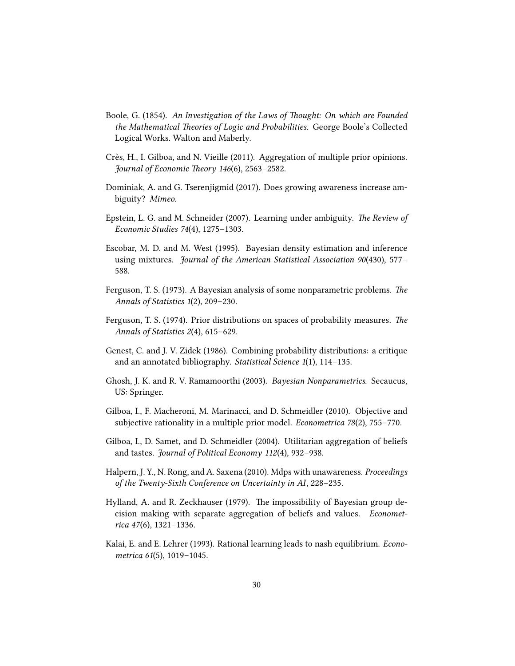- <span id="page-29-6"></span>Boole, G. (1854). *An Investigation of the Laws of Thought: On which are Founded the Mathematical Theories of Logic and Probabilities*. George Boole's Collected Logical Works. Walton and Maberly.
- <span id="page-29-10"></span>Crès, H., I. Gilboa, and N. Vieille (2011). Aggregation of multiple prior opinions. *Journal of Economic Theory 146*(6), 2563–2582.
- <span id="page-29-3"></span>Dominiak, A. and G. Tserenjigmid (2017). Does growing awareness increase ambiguity? *Mimeo*.
- <span id="page-29-2"></span>Epstein, L. G. and M. Schneider (2007). Learning under ambiguity. *The Review of Economic Studies 74*(4), 1275–1303.
- <span id="page-29-7"></span>Escobar, M. D. and M. West (1995). Bayesian density estimation and inference using mixtures. *Journal of the American Statistical Association 90*(430), 577– 588.
- <span id="page-29-0"></span>Ferguson, T. S. (1973). A Bayesian analysis of some nonparametric problems. *The Annals of Statistics 1*(2), 209–230.
- <span id="page-29-1"></span>Ferguson, T. S. (1974). Prior distributions on spaces of probability measures. *The Annals of Statistics 2*(4), 615–629.
- <span id="page-29-9"></span>Genest, C. and J. V. Zidek (1986). Combining probability distributions: a critique and an annotated bibliography. *Statistical Science 1*(1), 114–135.
- <span id="page-29-8"></span>Ghosh, J. K. and R. V. Ramamoorthi (2003). *Bayesian Nonparametrics*. Secaucus, US: Springer.
- <span id="page-29-4"></span>Gilboa, I., F. Macheroni, M. Marinacci, and D. Schmeidler (2010). Objective and subjective rationality in a multiple prior model. *Econometrica 78*(2), 755–770.
- <span id="page-29-12"></span>Gilboa, I., D. Samet, and D. Schmeidler (2004). Utilitarian aggregation of beliefs and tastes. *Journal of Political Economy 112*(4), 932–938.
- <span id="page-29-5"></span>Halpern, J. Y., N. Rong, and A. Saxena (2010). Mdps with unawareness. *Proceedings of the Twenty-Sixth Conference on Uncertainty in AI*, 228–235.
- <span id="page-29-11"></span>Hylland, A. and R. Zeckhauser (1979). The impossibility of Bayesian group decision making with separate aggregation of beliefs and values. *Econometrica 47*(6), 1321–1336.
- <span id="page-29-13"></span>Kalai, E. and E. Lehrer (1993). Rational learning leads to nash equilibrium. *Econometrica 61*(5), 1019–1045.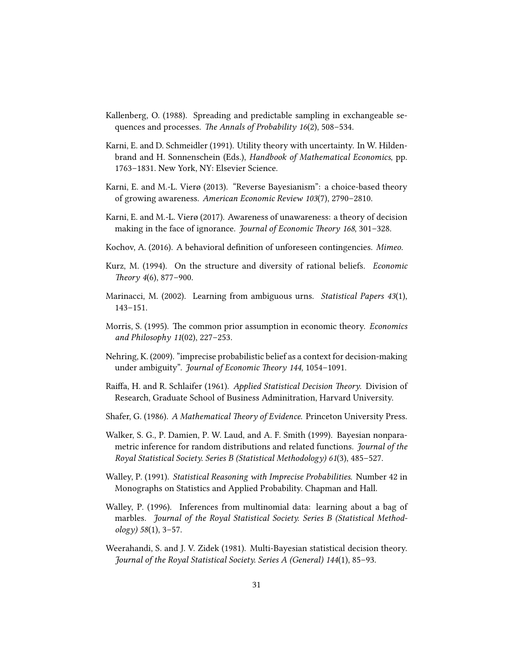- <span id="page-30-5"></span>Kallenberg, O. (1988). Spreading and predictable sampling in exchangeable sequences and processes. *The Annals of Probability 16*(2), 508–534.
- <span id="page-30-6"></span>Karni, E. and D. Schmeidler (1991). Utility theory with uncertainty. In W. Hildenbrand and H. Sonnenschein (Eds.), *Handbook of Mathematical Economics*, pp. 1763–1831. New York, NY: Elsevier Science.
- <span id="page-30-0"></span>Karni, E. and M.-L. Vierø (2013). "Reverse Bayesianism": a choice-based theory of growing awareness. *American Economic Review 103*(7), 2790–2810.
- <span id="page-30-1"></span>Karni, E. and M.-L. Vierø (2017). Awareness of unawareness: a theory of decision making in the face of ignorance. *Journal of Economic Theory 168*, 301–328.
- <span id="page-30-4"></span>Kochov, A. (2016). A behavioral definition of unforeseen contingencies. *Mimeo*.
- <span id="page-30-14"></span>Kurz, M. (1994). On the structure and diversity of rational beliefs. *Economic Theory 4*(6), 877–900.
- <span id="page-30-2"></span>Marinacci, M. (2002). Learning from ambiguous urns. *Statistical Papers 43*(1), 143–151.
- <span id="page-30-13"></span>Morris, S. (1995). The common prior assumption in economic theory. *Economics and Philosophy 11*(02), 227–253.
- <span id="page-30-3"></span>Nehring, K. (2009). "imprecise probabilistic belief as a context for decision-making under ambiguity". *Journal of Economic Theory 144*, 1054–1091.
- <span id="page-30-9"></span>Raiffa, H. and R. Schlaifer (1961). *Applied Statistical Decision Theory*. Division of Research, Graduate School of Business Adminitration, Harvard University.
- <span id="page-30-10"></span>Shafer, G. (1986). *A Mathematical Theory of Evidence*. Princeton University Press.
- <span id="page-30-7"></span>Walker, S. G., P. Damien, P. W. Laud, and A. F. Smith (1999). Bayesian nonparametric inference for random distributions and related functions. *Journal of the Royal Statistical Society. Series B (Statistical Methodology) 61*(3), 485–527.
- <span id="page-30-11"></span>Walley, P. (1991). *Statistical Reasoning with Imprecise Probabilities*. Number 42 in Monographs on Statistics and Applied Probability. Chapman and Hall.
- <span id="page-30-8"></span>Walley, P. (1996). Inferences from multinomial data: learning about a bag of marbles. *Journal of the Royal Statistical Society. Series B (Statistical Methodology) 58*(1), 3–57.
- <span id="page-30-12"></span>Weerahandi, S. and J. V. Zidek (1981). Multi-Bayesian statistical decision theory. *Journal of the Royal Statistical Society. Series A (General) 144*(1), 85–93.